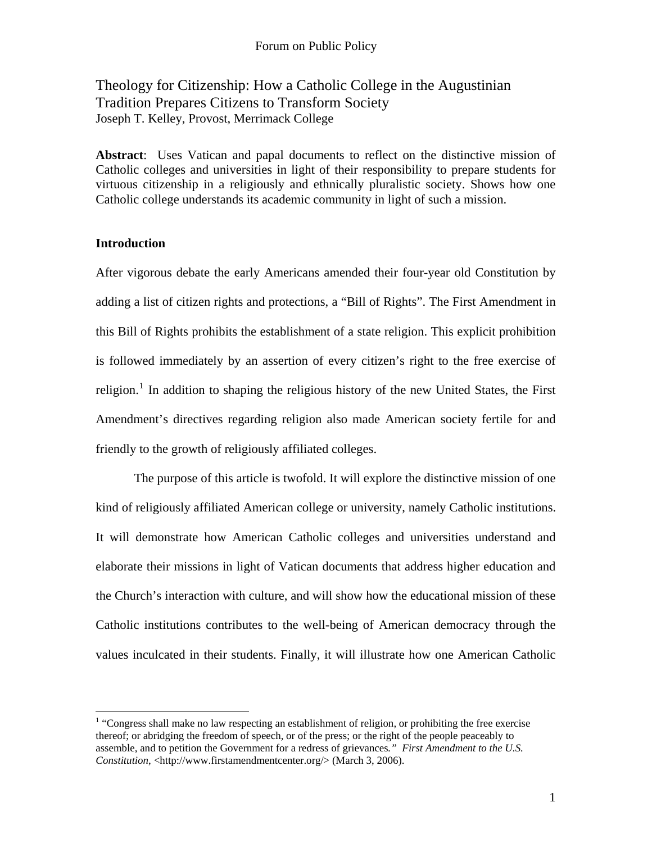# Theology for Citizenship: How a Catholic College in the Augustinian Tradition Prepares Citizens to Transform Society Joseph T. Kelley, Provost, Merrimack College

**Abstract**: Uses Vatican and papal documents to reflect on the distinctive mission of Catholic colleges and universities in light of their responsibility to prepare students for virtuous citizenship in a religiously and ethnically pluralistic society. Shows how one Catholic college understands its academic community in light of such a mission.

## **Introduction**

After vigorous debate the early Americans amended their four-year old Constitution by adding a list of citizen rights and protections, a "Bill of Rights". The First Amendment in this Bill of Rights prohibits the establishment of a state religion. This explicit prohibition is followed immediately by an assertion of every citizen's right to the free exercise of religion.<sup>[1](#page-0-0)</sup> In addition to shaping the religious history of the new United States, the First Amendment's directives regarding religion also made American society fertile for and friendly to the growth of religiously affiliated colleges.

The purpose of this article is twofold. It will explore the distinctive mission of one kind of religiously affiliated American college or university, namely Catholic institutions. It will demonstrate how American Catholic colleges and universities understand and elaborate their missions in light of Vatican documents that address higher education and the Church's interaction with culture, and will show how the educational mission of these Catholic institutions contributes to the well-being of American democracy through the values inculcated in their students. Finally, it will illustrate how one American Catholic

<span id="page-0-0"></span> 1 "Congress shall make no law respecting an establishment of religion, or prohibiting the free exercise thereof; or abridging the freedom of speech, or of the press; or the right of the people peaceably to assemble, and to petition the Government for a redress of grievances*." First Amendment to the U.S. Constitution*, [<http://www.firstamendmentcenter.org/>](http://www.firstamendmentcenter.org/) (March 3, 2006).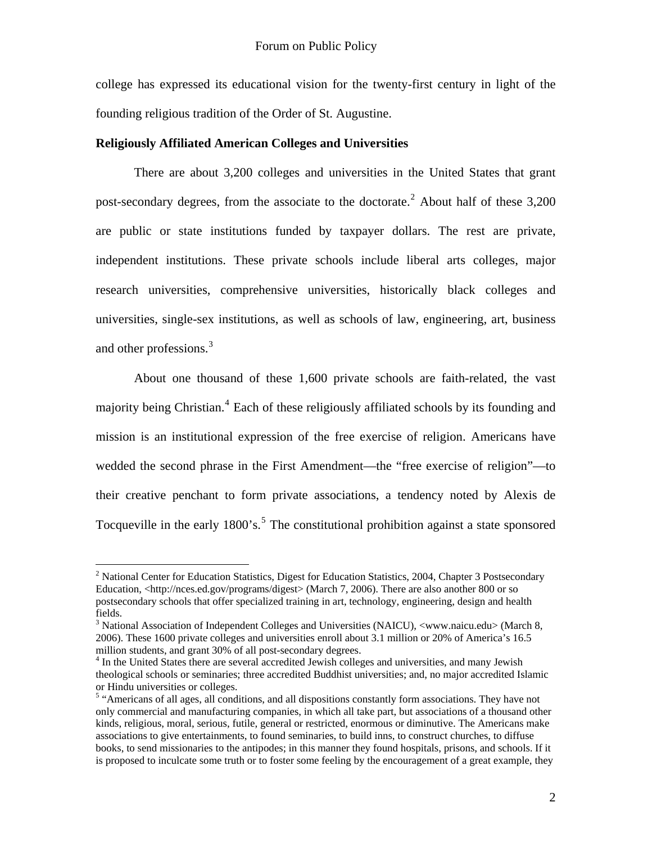college has expressed its educational vision for the twenty-first century in light of the founding religious tradition of the Order of St. Augustine.

## **Religiously Affiliated American Colleges and Universities**

There are about 3,200 colleges and universities in the United States that grant post-secondary degrees, from the associate to the doctorate.<sup>[2](#page-1-0)</sup> About half of these  $3,200$ are public or state institutions funded by taxpayer dollars. The rest are private, independent institutions. These private schools include liberal arts colleges, major research universities, comprehensive universities, historically black colleges and universities, single-sex institutions, as well as schools of law, engineering, art, business and other professions.<sup>[3](#page-1-1)</sup>

 About one thousand of these 1,600 private schools are faith-related, the vast majority being Christian.<sup>[4](#page-1-2)</sup> Each of these religiously affiliated schools by its founding and mission is an institutional expression of the free exercise of religion. Americans have wedded the second phrase in the First Amendment—the "free exercise of religion"—to their creative penchant to form private associations, a tendency noted by Alexis de Tocqueville in the early  $1800$ 's.<sup>[5](#page-1-3)</sup> The constitutional prohibition against a state sponsored

<span id="page-1-0"></span><sup>&</sup>lt;sup>2</sup> National Center for Education Statistics, Digest for Education Statistics, 2004, Chapter 3 Postsecondary Education, [<http://nces.ed.gov/programs/digest>](http://nces.ed.gov/programs/digest) (March 7, 2006). There are also another 800 or so postsecondary schools that offer specialized training in art, technology, engineering, design and health fields.

<span id="page-1-1"></span> $3$  National Association of Independent Colleges and Universities (NAICU), [<www.naicu.edu](http://www.naicu.edu/)> (March 8, 2006). These 1600 private colleges and universities enroll about 3.1 million or 20% of America's 16.5 million students, and grant 30% of all post-secondary degrees.

<span id="page-1-2"></span><sup>&</sup>lt;sup>4</sup> In the United States there are several accredited Jewish colleges and universities, and many Jewish theological schools or seminaries; three accredited Buddhist universities; and, no major accredited Islamic or Hindu universities or colleges.

<span id="page-1-3"></span><sup>&</sup>lt;sup>5</sup> "Americans of all ages, all conditions, and all dispositions constantly form associations. They have not only commercial and manufacturing companies, in which all take part, but associations of a thousand other kinds, religious, moral, serious, futile, general or restricted, enormous or diminutive. The Americans make associations to give entertainments, to found seminaries, to build inns, to construct churches, to diffuse books, to send missionaries to the antipodes; in this manner they found hospitals, prisons, and schools. If it is proposed to inculcate some truth or to foster some feeling by the encouragement of a great example, they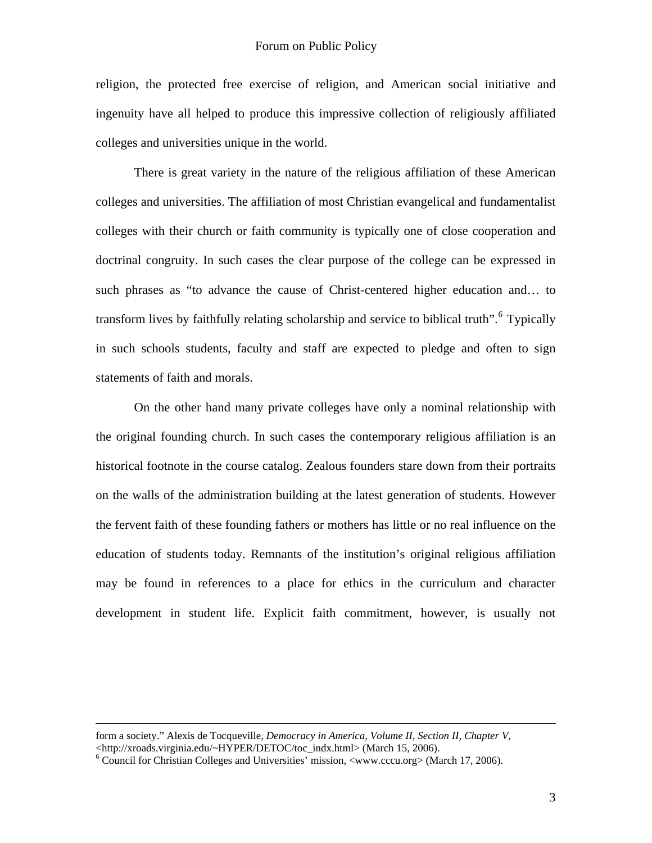religion, the protected free exercise of religion, and American social initiative and ingenuity have all helped to produce this impressive collection of religiously affiliated colleges and universities unique in the world.

There is great variety in the nature of the religious affiliation of these American colleges and universities. The affiliation of most Christian evangelical and fundamentalist colleges with their church or faith community is typically one of close cooperation and doctrinal congruity. In such cases the clear purpose of the college can be expressed in such phrases as "to advance the cause of Christ-centered higher education and… to transform lives by faithfully relating scholarship and service to biblical truth".<sup>[6](#page-2-0)</sup> Typically in such schools students, faculty and staff are expected to pledge and often to sign statements of faith and morals.

On the other hand many private colleges have only a nominal relationship with the original founding church. In such cases the contemporary religious affiliation is an historical footnote in the course catalog. Zealous founders stare down from their portraits on the walls of the administration building at the latest generation of students. However the fervent faith of these founding fathers or mothers has little or no real influence on the education of students today. Remnants of the institution's original religious affiliation may be found in references to a place for ethics in the curriculum and character development in student life. Explicit faith commitment, however, is usually not

form a society." Alexis de Tocqueville, *Democracy in America, Volume II, Section II, Chapter V*, <[http://xroads.virginia.edu/~HYPER/DETOC/toc\\_indx.html](http://xroads.virginia.edu/%7EHYPER/DETOC/toc_indx.html)> (March 15, 2006).

<span id="page-2-0"></span> $6$  Council for Christian Colleges and Universities' mission, <[www.cccu.org>](http://www.cccu.org/) (March 17, 2006).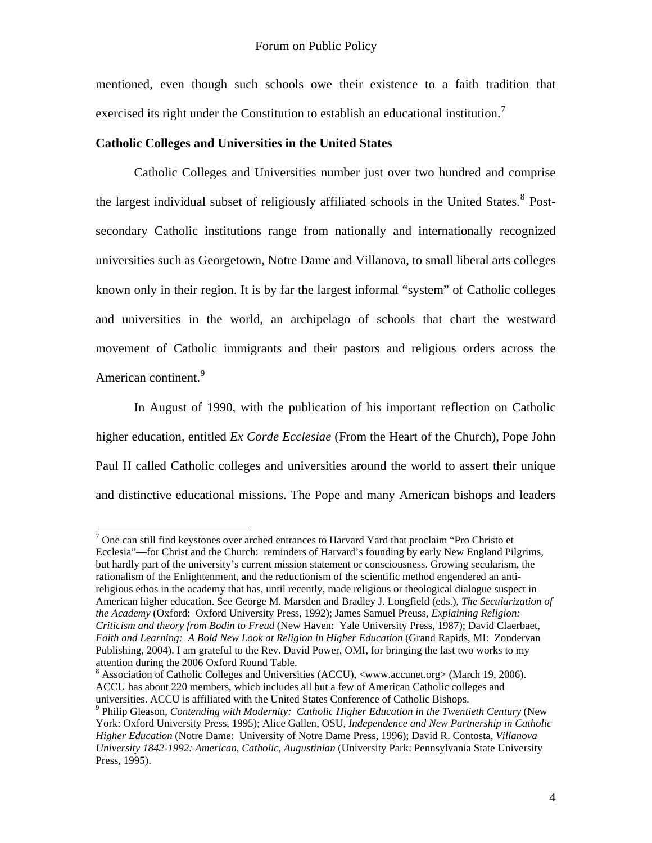mentioned, even though such schools owe their existence to a faith tradition that exercised its right under the Constitution to establish an educational institution.<sup>[7](#page-3-0)</sup>

## **Catholic Colleges and Universities in the United States**

 $\overline{a}$ 

 Catholic Colleges and Universities number just over two hundred and comprise the largest individual subset of religiously affiliated schools in the United States.<sup>[8](#page-3-1)</sup> Postsecondary Catholic institutions range from nationally and internationally recognized universities such as Georgetown, Notre Dame and Villanova, to small liberal arts colleges known only in their region. It is by far the largest informal "system" of Catholic colleges and universities in the world, an archipelago of schools that chart the westward movement of Catholic immigrants and their pastors and religious orders across the American continent.<sup>[9](#page-3-2)</sup>

In August of 1990, with the publication of his important reflection on Catholic higher education, entitled *Ex Corde Ecclesiae* (From the Heart of the Church), Pope John Paul II called Catholic colleges and universities around the world to assert their unique and distinctive educational missions. The Pope and many American bishops and leaders

<span id="page-3-0"></span> $7$  One can still find keystones over arched entrances to Harvard Yard that proclaim "Pro Christo et Ecclesia"—for Christ and the Church: reminders of Harvard's founding by early New England Pilgrims, but hardly part of the university's current mission statement or consciousness. Growing secularism, the rationalism of the Enlightenment, and the reductionism of the scientific method engendered an antireligious ethos in the academy that has, until recently, made religious or theological dialogue suspect in American higher education. See George M. Marsden and Bradley J. Longfield (eds.), *The Secularization of the Academy* (Oxford: Oxford University Press, 1992); James Samuel Preuss, *Explaining Religion: Criticism and theory from Bodin to Freud* (New Haven: Yale University Press, 1987); David Claerbaet, *Faith and Learning: A Bold New Look at Religion in Higher Education* (Grand Rapids, MI: Zondervan Publishing, 2004). I am grateful to the Rev. David Power, OMI, for bringing the last two works to my attention during the 2006 Oxford Round Table.

<span id="page-3-1"></span><sup>&</sup>lt;sup>8</sup> Association of Catholic Colleges and Universities (ACCU), [<www.accunet.org>](http://www.accunet.org/) (March 19, 2006). ACCU has about 220 members, which includes all but a few of American Catholic colleges and universities. ACCU is affiliated with the United States Conference of Catholic Bishops. 9

<span id="page-3-2"></span>Philip Gleason, *Contending with Modernity: Catholic Higher Education in the Twentieth Century* (New York: Oxford University Press, 1995); Alice Gallen, OSU, *Independence and New Partnership in Catholic Higher Education* (Notre Dame: University of Notre Dame Press, 1996); David R. Contosta, *Villanova University 1842-1992: American, Catholic, Augustinian* (University Park: Pennsylvania State University Press, 1995).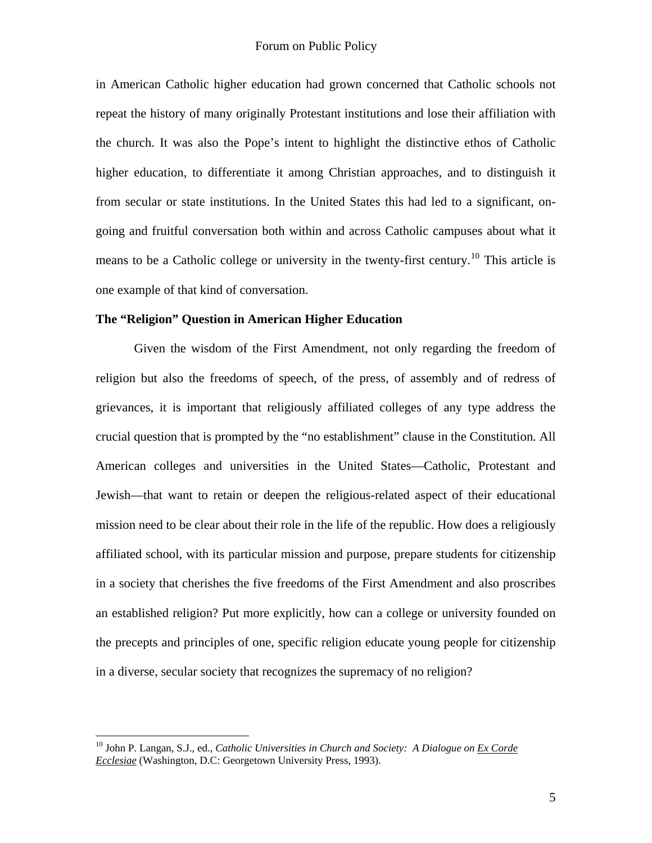in American Catholic higher education had grown concerned that Catholic schools not repeat the history of many originally Protestant institutions and lose their affiliation with the church. It was also the Pope's intent to highlight the distinctive ethos of Catholic higher education, to differentiate it among Christian approaches, and to distinguish it from secular or state institutions. In the United States this had led to a significant, ongoing and fruitful conversation both within and across Catholic campuses about what it means to be a Catholic college or university in the twenty-first century.<sup>[10](#page-4-0)</sup> This article is one example of that kind of conversation.

## **The "Religion" Question in American Higher Education**

 Given the wisdom of the First Amendment, not only regarding the freedom of religion but also the freedoms of speech, of the press, of assembly and of redress of grievances, it is important that religiously affiliated colleges of any type address the crucial question that is prompted by the "no establishment" clause in the Constitution. All American colleges and universities in the United States—Catholic, Protestant and Jewish—that want to retain or deepen the religious-related aspect of their educational mission need to be clear about their role in the life of the republic. How does a religiously affiliated school, with its particular mission and purpose, prepare students for citizenship in a society that cherishes the five freedoms of the First Amendment and also proscribes an established religion? Put more explicitly, how can a college or university founded on the precepts and principles of one, specific religion educate young people for citizenship in a diverse, secular society that recognizes the supremacy of no religion?

<span id="page-4-0"></span><sup>&</sup>lt;sup>10</sup> John P. Langan, S.J., ed., *Catholic Universities in Church and Society: A Dialogue on Ex Corde Ecclesiae* (Washington, D.C: Georgetown University Press, 1993).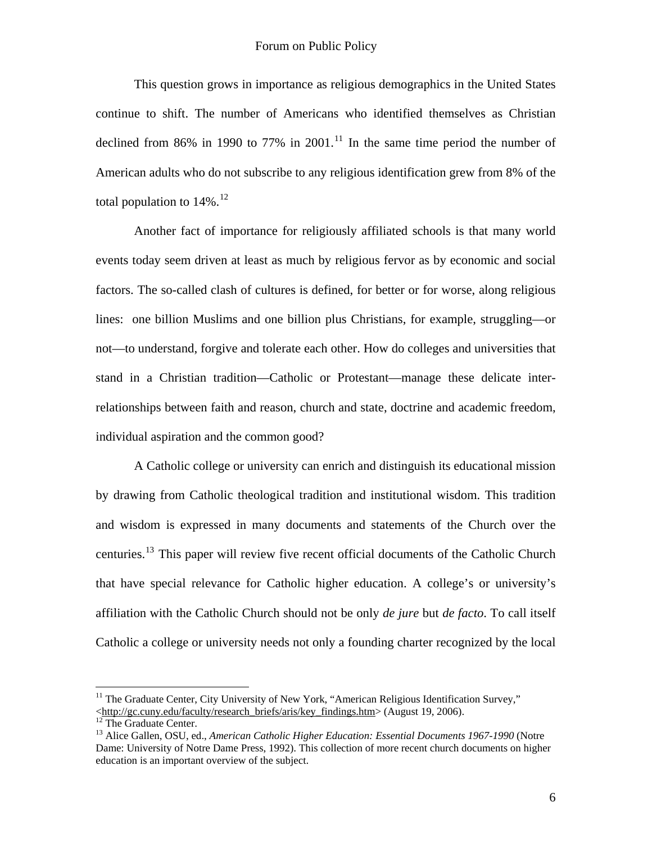This question grows in importance as religious demographics in the United States continue to shift. The number of Americans who identified themselves as Christian declined from 86% in 1990 to 77% in 2001.<sup>[11](#page-5-0)</sup> In the same time period the number of American adults who do not subscribe to any religious identification grew from 8% of the total population to  $14\%$ <sup>[12](#page-5-1)</sup>

Another fact of importance for religiously affiliated schools is that many world events today seem driven at least as much by religious fervor as by economic and social factors. The so-called clash of cultures is defined, for better or for worse, along religious lines: one billion Muslims and one billion plus Christians, for example, struggling—or not—to understand, forgive and tolerate each other. How do colleges and universities that stand in a Christian tradition—Catholic or Protestant—manage these delicate interrelationships between faith and reason, church and state, doctrine and academic freedom, individual aspiration and the common good?

A Catholic college or university can enrich and distinguish its educational mission by drawing from Catholic theological tradition and institutional wisdom. This tradition and wisdom is expressed in many documents and statements of the Church over the centuries.[13](#page-5-2) This paper will review five recent official documents of the Catholic Church that have special relevance for Catholic higher education. A college's or university's affiliation with the Catholic Church should not be only *de jure* but *de facto*. To call itself Catholic a college or university needs not only a founding charter recognized by the local

<span id="page-5-0"></span><sup>&</sup>lt;sup>11</sup> The Graduate Center, City University of New York, "American Religious Identification Survey," <[http://gc.cuny.edu/faculty/research\\_briefs/aris/key\\_findings.htm>](http://gc.cuny.edu/faculty/research_briefs/aris/key_findings.htm) (August 19, [2](http://gc.cuny.edu/faculty/research_briefs/aris/key_findings.htm)006). <sup>12</sup> The Graduate Center.

<span id="page-5-2"></span><span id="page-5-1"></span><sup>&</sup>lt;sup>13</sup> Alice Gallen, OSU, ed., *American Catholic Higher Education: Essential Documents 1967-1990* (Notre Dame: University of Notre Dame Press, 1992). This collection of more recent church documents on higher education is an important overview of the subject.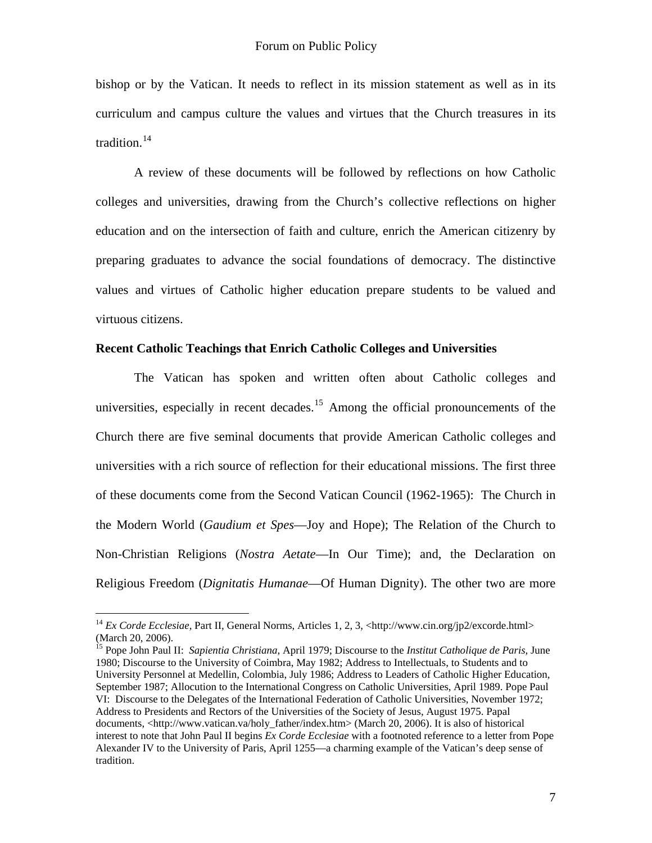bishop or by the Vatican. It needs to reflect in its mission statement as well as in its curriculum and campus culture the values and virtues that the Church treasures in its tradition. $14$ 

A review of these documents will be followed by reflections on how Catholic colleges and universities, drawing from the Church's collective reflections on higher education and on the intersection of faith and culture, enrich the American citizenry by preparing graduates to advance the social foundations of democracy. The distinctive values and virtues of Catholic higher education prepare students to be valued and virtuous citizens.

## **Recent Catholic Teachings that Enrich Catholic Colleges and Universities**

The Vatican has spoken and written often about Catholic colleges and universities, especially in recent decades.<sup>[15](#page-6-1)</sup> Among the official pronouncements of the Church there are five seminal documents that provide American Catholic colleges and universities with a rich source of reflection for their educational missions. The first three of these documents come from the Second Vatican Council (1962-1965): The Church in the Modern World (*Gaudium et Spes*—Joy and Hope); The Relation of the Church to Non-Christian Religions (*Nostra Aetate*—In Our Time); and, the Declaration on Religious Freedom (*Dignitatis Humanae*—Of Human Dignity). The other two are more

1

<span id="page-6-1"></span>15 Pope John Paul II: *Sapientia Christiana*, April 1979; Discourse to the *Institut Catholique de Paris,* June 1980; Discourse to the University of Coimbra, May 1982; Address to Intellectuals, to Students and to University Personnel at Medellin, Colombia, July 1986; Address to Leaders of Catholic Higher Education, September 1987; Allocution to the International Congress on Catholic Universities, April 1989. Pope Paul VI: Discourse to the Delegates of the International Federation of Catholic Universities, November 1972; Address to Presidents and Rectors of the Universities of the Society of Jesus, August 1975. Papal documents, [<http://www.vatican.va/holy\\_father/index.htm>](http://www.vatican.va/holy_father/index.htm) (March 20, 2006). It is also of historical interest to note that John Paul II begins *Ex Corde Ecclesiae* with a footnoted reference to a letter from Pope Alexander IV to the University of Paris, April 1255—a charming example of the Vatican's deep sense of tradition.

<span id="page-6-0"></span><sup>&</sup>lt;sup>14</sup> *Ex Corde Ecclesiae*, Part II, General Norms, Articles 1, 2, 3, [<http://www.cin.org/jp2/excorde.html](http://www.cin.org/jp2/excorde.html)> (March 20, 2006).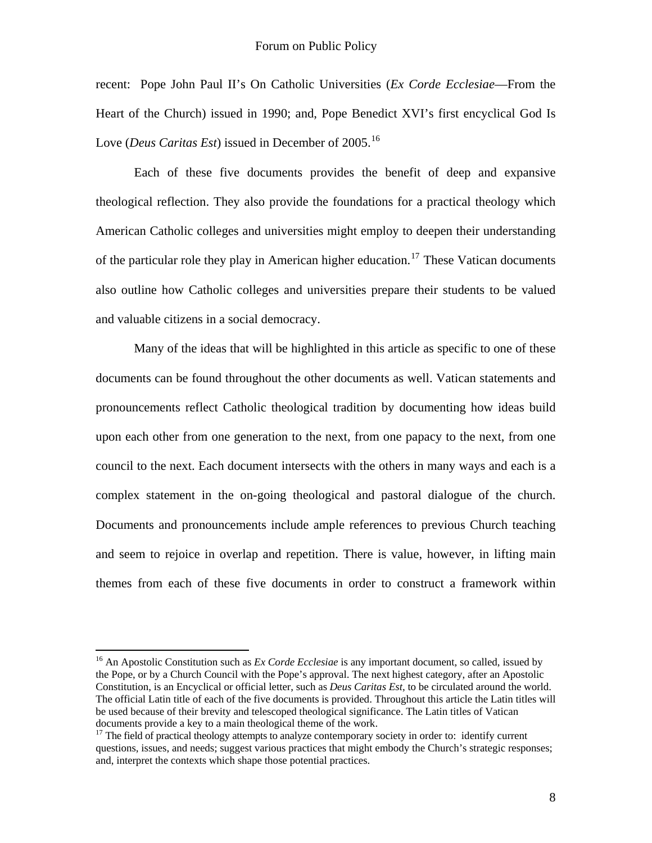recent: Pope John Paul II's On Catholic Universities (*Ex Corde Ecclesiae*—From the Heart of the Church) issued in 1990; and, Pope Benedict XVI's first encyclical God Is Love (*Deus Caritas Est*) issued in December of 2005.<sup>[16](#page-7-0)</sup>

Each of these five documents provides the benefit of deep and expansive theological reflection. They also provide the foundations for a practical theology which American Catholic colleges and universities might employ to deepen their understanding of the particular role they play in American higher education.<sup>[17](#page-7-1)</sup> These Vatican documents also outline how Catholic colleges and universities prepare their students to be valued and valuable citizens in a social democracy.

Many of the ideas that will be highlighted in this article as specific to one of these documents can be found throughout the other documents as well. Vatican statements and pronouncements reflect Catholic theological tradition by documenting how ideas build upon each other from one generation to the next, from one papacy to the next, from one council to the next. Each document intersects with the others in many ways and each is a complex statement in the on-going theological and pastoral dialogue of the church. Documents and pronouncements include ample references to previous Church teaching and seem to rejoice in overlap and repetition. There is value, however, in lifting main themes from each of these five documents in order to construct a framework within

<span id="page-7-0"></span><sup>&</sup>lt;sup>16</sup> An Apostolic Constitution such as *Ex Corde Ecclesiae* is any important document, so called, issued by the Pope, or by a Church Council with the Pope's approval. The next highest category, after an Apostolic Constitution, is an Encyclical or official letter, such as *Deus Caritas Est*, to be circulated around the world. The official Latin title of each of the five documents is provided. Throughout this article the Latin titles will be used because of their brevity and telescoped theological significance. The Latin titles of Vatican documents provide a key to a main theological theme of the work.

<span id="page-7-1"></span><sup>&</sup>lt;sup>17</sup> The field of practical theology attempts to analyze contemporary society in order to: identify current questions, issues, and needs; suggest various practices that might embody the Church's strategic responses; and, interpret the contexts which shape those potential practices.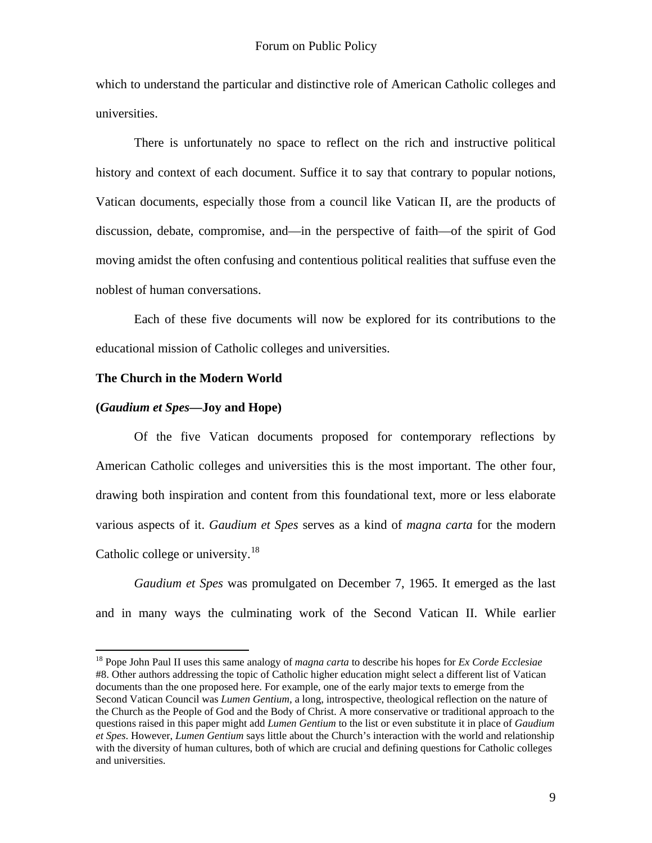which to understand the particular and distinctive role of American Catholic colleges and universities.

There is unfortunately no space to reflect on the rich and instructive political history and context of each document. Suffice it to say that contrary to popular notions, Vatican documents, especially those from a council like Vatican II, are the products of discussion, debate, compromise, and—in the perspective of faith—of the spirit of God moving amidst the often confusing and contentious political realities that suffuse even the noblest of human conversations.

Each of these five documents will now be explored for its contributions to the educational mission of Catholic colleges and universities.

#### **The Church in the Modern World**

## **(***Gaudium et Spes***—Joy and Hope)**

 $\overline{a}$ 

Of the five Vatican documents proposed for contemporary reflections by American Catholic colleges and universities this is the most important. The other four, drawing both inspiration and content from this foundational text, more or less elaborate various aspects of it. *Gaudium et Spes* serves as a kind of *magna carta* for the modern Catholic college or university.<sup>[18](#page-8-0)</sup>

*Gaudium et Spes* was promulgated on December 7, 1965. It emerged as the last and in many ways the culminating work of the Second Vatican II. While earlier

<span id="page-8-0"></span><sup>18</sup> Pope John Paul II uses this same analogy of *magna carta* to describe his hopes for *Ex Corde Ecclesiae* #8. Other authors addressing the topic of Catholic higher education might select a different list of Vatican documents than the one proposed here. For example, one of the early major texts to emerge from the Second Vatican Council was *Lumen Gentium*, a long, introspective, theological reflection on the nature of the Church as the People of God and the Body of Christ. A more conservative or traditional approach to the questions raised in this paper might add *Lumen Gentium* to the list or even substitute it in place of *Gaudium et Spes*. However, *Lumen Gentium* says little about the Church's interaction with the world and relationship with the diversity of human cultures, both of which are crucial and defining questions for Catholic colleges and universities.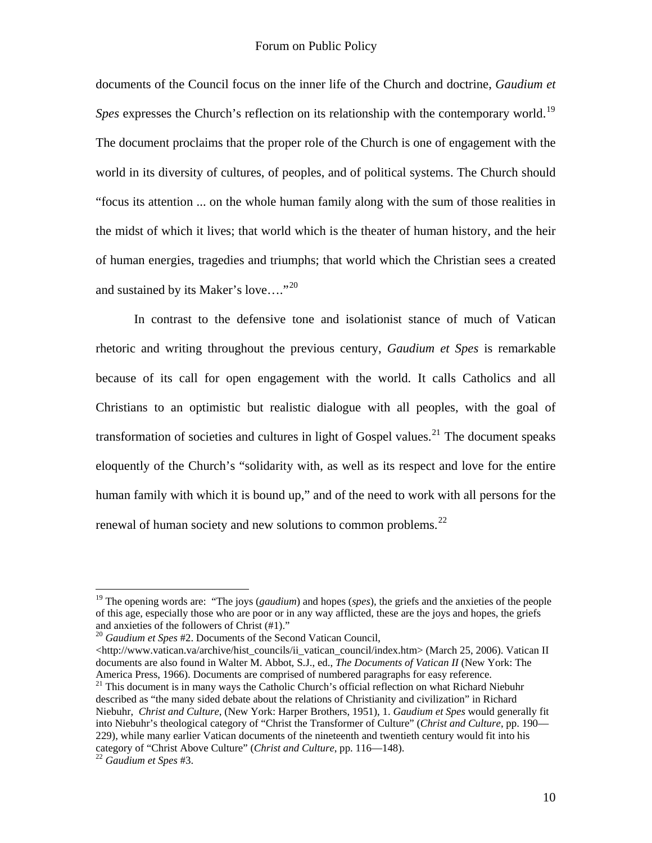documents of the Council focus on the inner life of the Church and doctrine, *Gaudium et Spes* expresses the Church's reflection on its relationship with the contemporary world.<sup>[19](#page-9-0)</sup> The document proclaims that the proper role of the Church is one of engagement with the world in its diversity of cultures, of peoples, and of political systems. The Church should "focus its attention ... on the whole human family along with the sum of those realities in the midst of which it lives; that world which is the theater of human history, and the heir of human energies, tragedies and triumphs; that world which the Christian sees a created and sustained by its Maker's love...."<sup>[20](#page-9-1)</sup>

In contrast to the defensive tone and isolationist stance of much of Vatican rhetoric and writing throughout the previous century, *Gaudium et Spes* is remarkable because of its call for open engagement with the world. It calls Catholics and all Christians to an optimistic but realistic dialogue with all peoples, with the goal of transformation of societies and cultures in light of Gospel values.<sup>[21](#page-9-2)</sup> The document speaks eloquently of the Church's "solidarity with, as well as its respect and love for the entire human family with which it is bound up," and of the need to work with all persons for the renewal of human society and new solutions to common problems.<sup>[22](#page-9-3)</sup>

1

<span id="page-9-0"></span><sup>&</sup>lt;sup>19</sup> The opening words are: "The joys (*gaudium*) and hopes (*spes*), the griefs and the anxieties of the people of this age, especially those who are poor or in any way afflicted, these are the joys and hopes, the griefs and anxieties of the followers of Christ (#1)."

<span id="page-9-1"></span><sup>20</sup> *Gaudium et Spes* #2. Documents of the Second Vatican Council,

<sup>&</sup>lt;[http://www.vatican.va/archive/hist\\_councils/ii\\_vatican\\_council/index.htm>](http://www.vatican.va/archive/hist_councils/ii_vatican_council/index.htm) (March 25, 2006). Vatican II documents are also found in Walter M. Abbot, S.J., ed., *The Documents of Vatican II* (New York: The America Press, 1966). Documents are comprised of numbered paragraphs for easy reference.<br><sup>21</sup> This document is in many ways the Catholic Church's official reflection on what Richard Niebuhr

<span id="page-9-2"></span>described as "the many sided debate about the relations of Christianity and civilization" in Richard Niebuhr, *Christ and Culture*, (New York: Harper Brothers, 1951), 1. *Gaudium et Spes* would generally fit into Niebuhr's theological category of "Christ the Transformer of Culture" (*Christ and Culture*, pp. 190— 229), while many earlier Vatican documents of the nineteenth and twentieth century would fit into his category of "Christ Above Culture" (*Christ and Culture*, pp. 116—148). 22 *Gaudium et Spes* #3.

<span id="page-9-3"></span>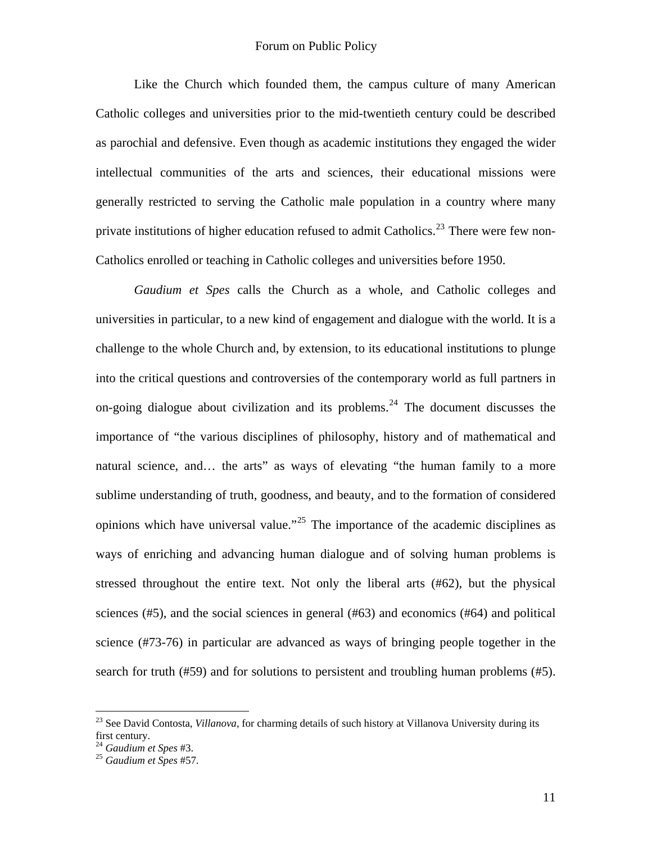Like the Church which founded them, the campus culture of many American Catholic colleges and universities prior to the mid-twentieth century could be described as parochial and defensive. Even though as academic institutions they engaged the wider intellectual communities of the arts and sciences, their educational missions were generally restricted to serving the Catholic male population in a country where many private institutions of higher education refused to admit Catholics.<sup>[23](#page-10-0)</sup> There were few non-Catholics enrolled or teaching in Catholic colleges and universities before 1950.

*Gaudium et Spes* calls the Church as a whole, and Catholic colleges and universities in particular, to a new kind of engagement and dialogue with the world. It is a challenge to the whole Church and, by extension, to its educational institutions to plunge into the critical questions and controversies of the contemporary world as full partners in on-going dialogue about civilization and its problems.<sup>[24](#page-10-1)</sup> The document discusses the importance of "the various disciplines of philosophy, history and of mathematical and natural science, and... the arts" as ways of elevating "the human family to a more sublime understanding of truth, goodness, and beauty, and to the formation of considered opinions which have universal value."[25](#page-10-2) The importance of the academic disciplines as ways of enriching and advancing human dialogue and of solving human problems is stressed throughout the entire text. Not only the liberal arts (#62), but the physical sciences (#5), and the social sciences in general (#63) and economics (#64) and political science (#73-76) in particular are advanced as ways of bringing people together in the search for truth (#59) and for solutions to persistent and troubling human problems (#5).

<span id="page-10-0"></span><sup>23</sup> See David Contosta, *Villanova*, for charming details of such history at Villanova University during its first century.

<span id="page-10-2"></span><span id="page-10-1"></span><sup>24</sup> *Gaudium et Spes* #3. 25 *Gaudium et Spes* #57.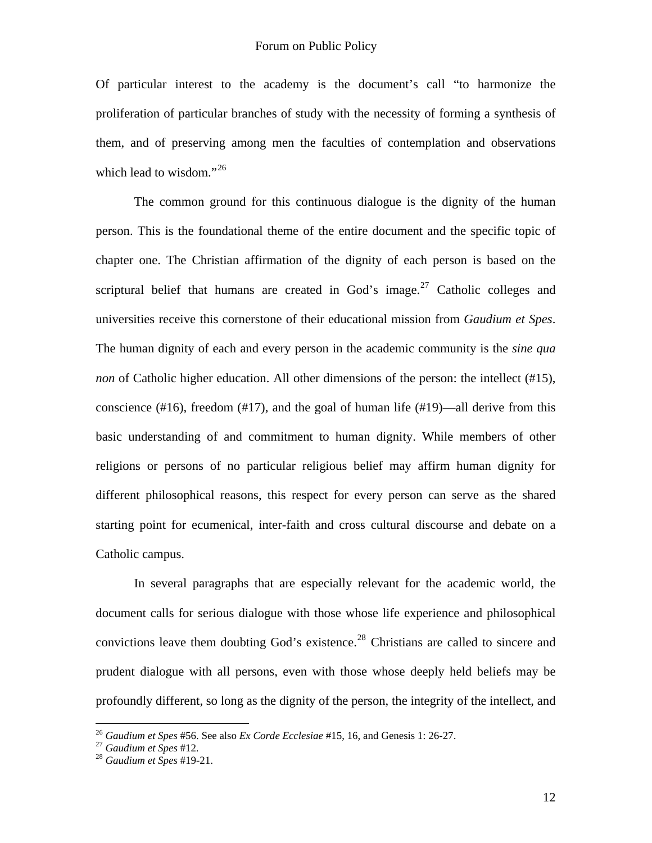Of particular interest to the academy is the document's call "to harmonize the proliferation of particular branches of study with the necessity of forming a synthesis of them, and of preserving among men the faculties of contemplation and observations which lead to wisdom."<sup>[26](#page-11-0)</sup>

The common ground for this continuous dialogue is the dignity of the human person. This is the foundational theme of the entire document and the specific topic of chapter one. The Christian affirmation of the dignity of each person is based on the scriptural belief that humans are created in God's image.<sup>[27](#page-11-1)</sup> Catholic colleges and universities receive this cornerstone of their educational mission from *Gaudium et Spes*. The human dignity of each and every person in the academic community is the *sine qua non* of Catholic higher education. All other dimensions of the person: the intellect (#15), conscience  $(\#16)$ , freedom  $(\#17)$ , and the goal of human life  $(\#19)$ —all derive from this basic understanding of and commitment to human dignity. While members of other religions or persons of no particular religious belief may affirm human dignity for different philosophical reasons, this respect for every person can serve as the shared starting point for ecumenical, inter-faith and cross cultural discourse and debate on a Catholic campus.

In several paragraphs that are especially relevant for the academic world, the document calls for serious dialogue with those whose life experience and philosophical convictions leave them doubting God's existence.<sup>[28](#page-11-2)</sup> Christians are called to sincere and prudent dialogue with all persons, even with those whose deeply held beliefs may be profoundly different, so long as the dignity of the person, the integrity of the intellect, and

<span id="page-11-1"></span><span id="page-11-0"></span><sup>26</sup> *Gaudium et Spes* #56. See also *Ex Corde Ecclesiae* #15, 16, and Genesis 1: 26-27. 27 *Gaudium et Spes* #12. 28 *Gaudium et Spes* #19-21.

<span id="page-11-2"></span>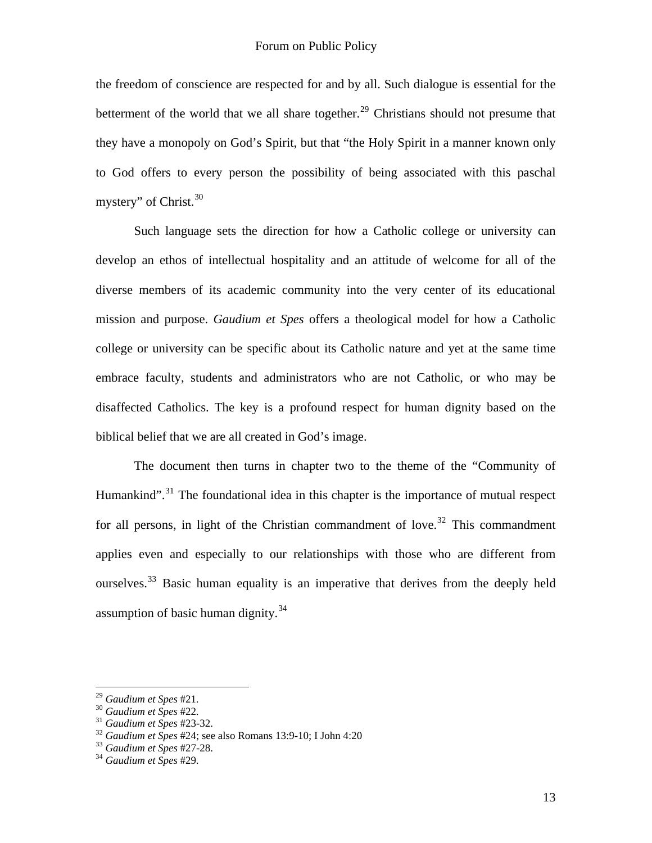the freedom of conscience are respected for and by all. Such dialogue is essential for the betterment of the world that we all share together.<sup>[29](#page-12-0)</sup> Christians should not presume that they have a monopoly on God's Spirit, but that "the Holy Spirit in a manner known only to God offers to every person the possibility of being associated with this paschal mystery" of Christ. $30$ 

Such language sets the direction for how a Catholic college or university can develop an ethos of intellectual hospitality and an attitude of welcome for all of the diverse members of its academic community into the very center of its educational mission and purpose. *Gaudium et Spes* offers a theological model for how a Catholic college or university can be specific about its Catholic nature and yet at the same time embrace faculty, students and administrators who are not Catholic, or who may be disaffected Catholics. The key is a profound respect for human dignity based on the biblical belief that we are all created in God's image.

The document then turns in chapter two to the theme of the "Community of Humankind".<sup>[31](#page-12-2)</sup> The foundational idea in this chapter is the importance of mutual respect for all persons, in light of the Christian commandment of love.<sup>[32](#page-12-3)</sup> This commandment applies even and especially to our relationships with those who are different from ourselves.<sup>[33](#page-12-4)</sup> Basic human equality is an imperative that derives from the deeply held assumption of basic human dignity. $34$ 

<span id="page-12-0"></span> $29$  Gaudium et Spes #21.

<span id="page-12-3"></span><span id="page-12-2"></span>

<span id="page-12-1"></span><sup>&</sup>lt;sup>30</sup> Gaudium et Spes #22.<br><sup>31</sup> Gaudium et Spes #23-32.<br><sup>32</sup> Gaudium et Spes #24; see also Romans 13:9-10; I John 4:20<br><sup>33</sup> Gaudium et Spes #27-28.<br><sup>34</sup> Gaudium et Spes #29.

<span id="page-12-4"></span>

<span id="page-12-5"></span>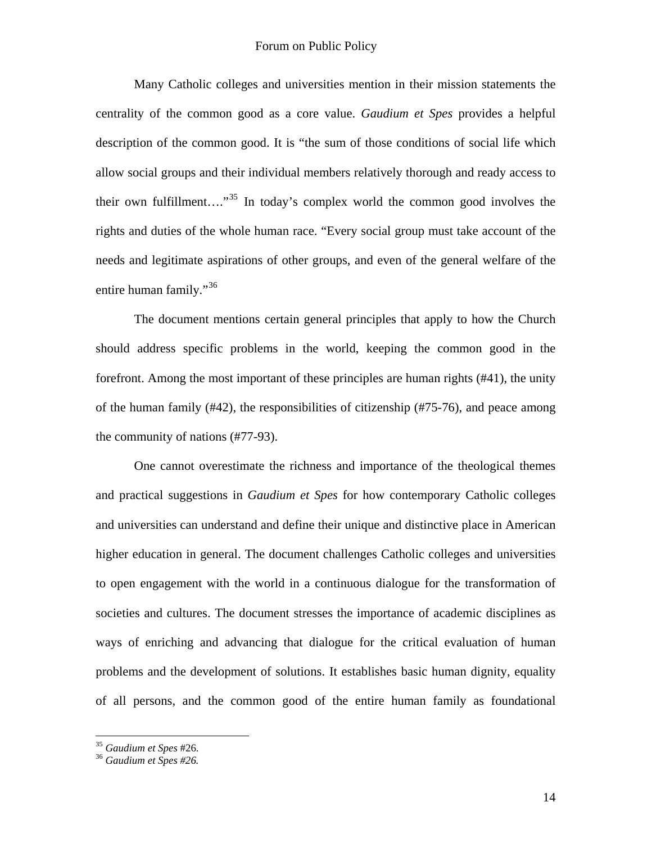Many Catholic colleges and universities mention in their mission statements the centrality of the common good as a core value. *Gaudium et Spes* provides a helpful description of the common good. It is "the sum of those conditions of social life which allow social groups and their individual members relatively thorough and ready access to their own fulfillment...."<sup>[35](#page-13-0)</sup> In today's complex world the common good involves the rights and duties of the whole human race. "Every social group must take account of the needs and legitimate aspirations of other groups, and even of the general welfare of the entire human family."<sup>[36](#page-13-1)</sup>

The document mentions certain general principles that apply to how the Church should address specific problems in the world, keeping the common good in the forefront. Among the most important of these principles are human rights (#41), the unity of the human family (#42), the responsibilities of citizenship (#75-76), and peace among the community of nations (#77-93).

One cannot overestimate the richness and importance of the theological themes and practical suggestions in *Gaudium et Spes* for how contemporary Catholic colleges and universities can understand and define their unique and distinctive place in American higher education in general. The document challenges Catholic colleges and universities to open engagement with the world in a continuous dialogue for the transformation of societies and cultures. The document stresses the importance of academic disciplines as ways of enriching and advancing that dialogue for the critical evaluation of human problems and the development of solutions. It establishes basic human dignity, equality of all persons, and the common good of the entire human family as foundational

<span id="page-13-0"></span><sup>35</sup> *Gaudium et Spes* #26. 36 *Gaudium et Spes #26.*

<span id="page-13-1"></span>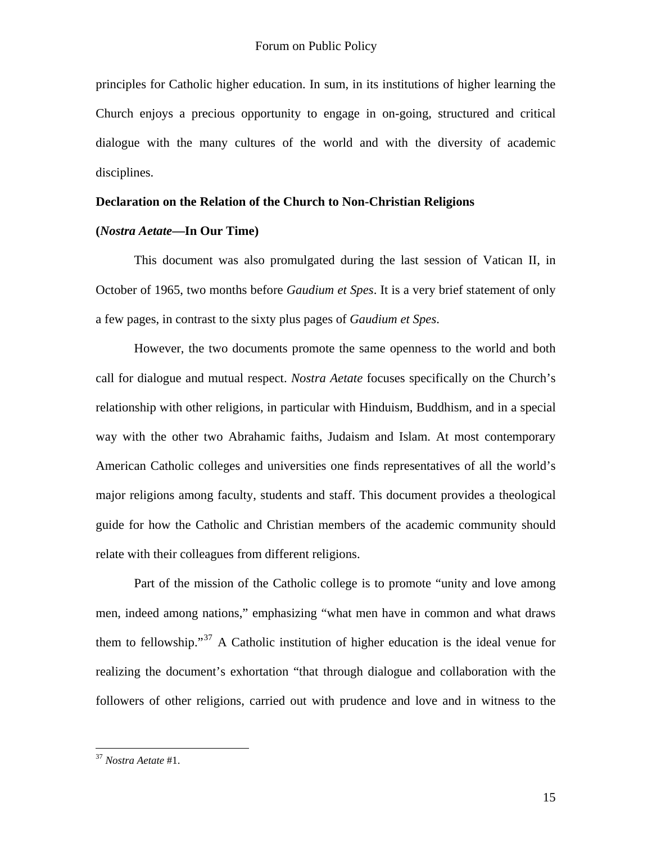principles for Catholic higher education. In sum, in its institutions of higher learning the Church enjoys a precious opportunity to engage in on-going, structured and critical dialogue with the many cultures of the world and with the diversity of academic disciplines.

## **Declaration on the Relation of the Church to Non-Christian Religions**

## **(***Nostra Aetate***—In Our Time)**

This document was also promulgated during the last session of Vatican II, in October of 1965, two months before *Gaudium et Spes*. It is a very brief statement of only a few pages, in contrast to the sixty plus pages of *Gaudium et Spes*.

However, the two documents promote the same openness to the world and both call for dialogue and mutual respect. *Nostra Aetate* focuses specifically on the Church's relationship with other religions, in particular with Hinduism, Buddhism, and in a special way with the other two Abrahamic faiths, Judaism and Islam. At most contemporary American Catholic colleges and universities one finds representatives of all the world's major religions among faculty, students and staff. This document provides a theological guide for how the Catholic and Christian members of the academic community should relate with their colleagues from different religions.

Part of the mission of the Catholic college is to promote "unity and love among men, indeed among nations," emphasizing "what men have in common and what draws them to fellowship.<sup>[37](#page-14-0)</sup> A Catholic institution of higher education is the ideal venue for realizing the document's exhortation "that through dialogue and collaboration with the followers of other religions, carried out with prudence and love and in witness to the

<span id="page-14-0"></span><sup>37</sup> *Nostra Aetate* #1.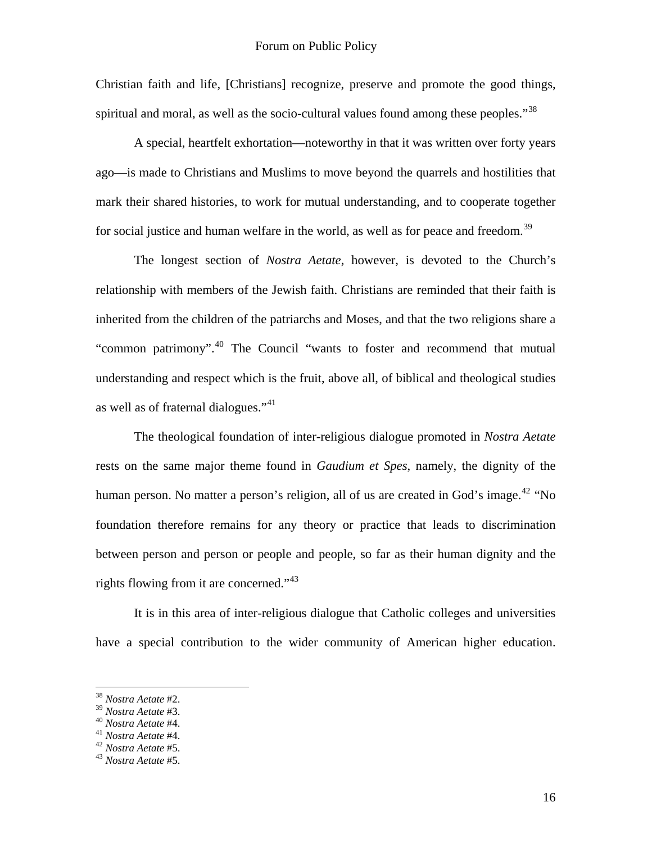Christian faith and life, [Christians] recognize, preserve and promote the good things, spiritual and moral, as well as the socio-cultural values found among these peoples."<sup>[38](#page-15-0)</sup>

A special, heartfelt exhortation—noteworthy in that it was written over forty years ago—is made to Christians and Muslims to move beyond the quarrels and hostilities that mark their shared histories, to work for mutual understanding, and to cooperate together for social justice and human welfare in the world, as well as for peace and freedom.<sup>[39](#page-15-1)</sup>

The longest section of *Nostra Aetate*, however, is devoted to the Church's relationship with members of the Jewish faith. Christians are reminded that their faith is inherited from the children of the patriarchs and Moses, and that the two religions share a "common patrimony".[40](#page-15-2) The Council "wants to foster and recommend that mutual understanding and respect which is the fruit, above all, of biblical and theological studies as well as of fraternal dialogues."<sup>[41](#page-15-3)</sup>

The theological foundation of inter-religious dialogue promoted in *Nostra Aetate* rests on the same major theme found in *Gaudium et Spes*, namely, the dignity of the human person. No matter a person's religion, all of us are created in God's image.<sup>[42](#page-15-4)</sup> "No foundation therefore remains for any theory or practice that leads to discrimination between person and person or people and people, so far as their human dignity and the rights flowing from it are concerned."<sup>[43](#page-15-5)</sup>

It is in this area of inter-religious dialogue that Catholic colleges and universities have a special contribution to the wider community of American higher education.

<span id="page-15-0"></span><sup>38</sup> *Nostra Aetate* #2.

<span id="page-15-3"></span><span id="page-15-2"></span><span id="page-15-1"></span><sup>39</sup> *Nostra Aetate* #3. 40 *Nostra Aetate* #4. 41 *Nostra Aetate* #4. 42 *Nostra Aetate* #5. 43 *Nostra Aetate* #5.

<span id="page-15-4"></span>

<span id="page-15-5"></span>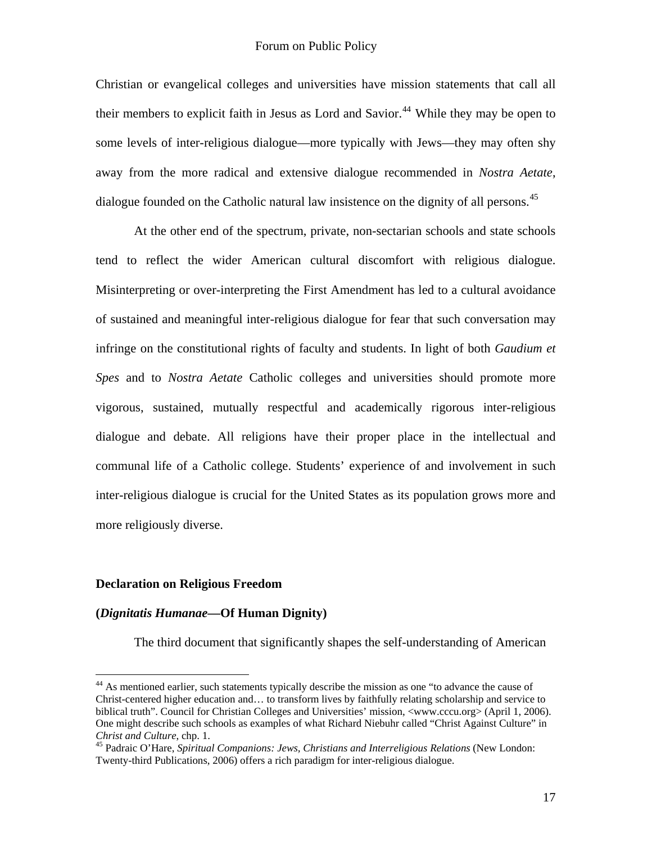Christian or evangelical colleges and universities have mission statements that call all their members to explicit faith in Jesus as Lord and Savior.<sup>[44](#page-16-0)</sup> While they may be open to some levels of inter-religious dialogue—more typically with Jews—they may often shy away from the more radical and extensive dialogue recommended in *Nostra Aetate*, dialogue founded on the Catholic natural law insistence on the dignity of all persons.<sup>[45](#page-16-1)</sup>

At the other end of the spectrum, private, non-sectarian schools and state schools tend to reflect the wider American cultural discomfort with religious dialogue. Misinterpreting or over-interpreting the First Amendment has led to a cultural avoidance of sustained and meaningful inter-religious dialogue for fear that such conversation may infringe on the constitutional rights of faculty and students. In light of both *Gaudium et Spes* and to *Nostra Aetate* Catholic colleges and universities should promote more vigorous, sustained, mutually respectful and academically rigorous inter-religious dialogue and debate. All religions have their proper place in the intellectual and communal life of a Catholic college. Students' experience of and involvement in such inter-religious dialogue is crucial for the United States as its population grows more and more religiously diverse.

## **Declaration on Religious Freedom**

<u>.</u>

#### **(***Dignitatis Humanae***—Of Human Dignity)**

The third document that significantly shapes the self-understanding of American

<span id="page-16-0"></span><sup>&</sup>lt;sup>44</sup> As mentioned earlier, such statements typically describe the mission as one "to advance the cause of Christ-centered higher education and… to transform lives by faithfully relating scholarship and service to biblical truth". Council for Christian Colleges and Universities' mission, <[www.cccu.org>](http://www.cccu.org/) (April 1, 2006). One might describe such schools as examples of what Richard Niebuhr called "Christ Against Culture" in *Christ and Culture*, chp. 1. 45 Padraic O'Hare, *Spiritual Companions: Jews, Christians and Interreligious Relations* (New London:

<span id="page-16-1"></span>Twenty-third Publications, 2006) offers a rich paradigm for inter-religious dialogue.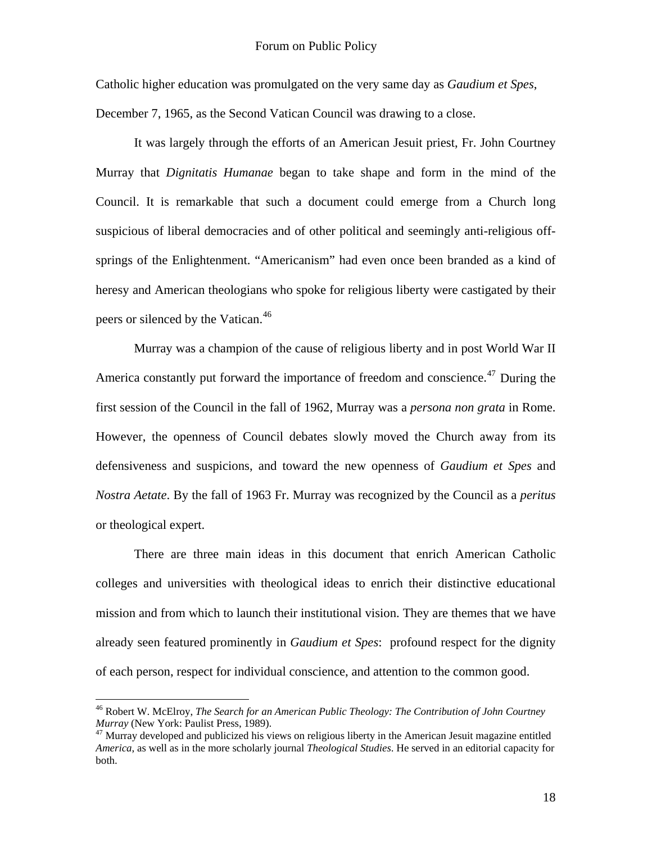Catholic higher education was promulgated on the very same day as *Gaudium et Spes*,

December 7, 1965, as the Second Vatican Council was drawing to a close.

 It was largely through the efforts of an American Jesuit priest, Fr. John Courtney Murray that *Dignitatis Humanae* began to take shape and form in the mind of the Council. It is remarkable that such a document could emerge from a Church long suspicious of liberal democracies and of other political and seemingly anti-religious offsprings of the Enlightenment. "Americanism" had even once been branded as a kind of heresy and American theologians who spoke for religious liberty were castigated by their peers or silenced by the Vatican.<sup>[46](#page-17-0)</sup>

Murray was a champion of the cause of religious liberty and in post World War II America constantly put forward the importance of freedom and conscience.<sup>[47](#page-17-1)</sup> During the first session of the Council in the fall of 1962, Murray was a *persona non grata* in Rome. However, the openness of Council debates slowly moved the Church away from its defensiveness and suspicions, and toward the new openness of *Gaudium et Spes* and *Nostra Aetate*. By the fall of 1963 Fr. Murray was recognized by the Council as a *peritus* or theological expert.

There are three main ideas in this document that enrich American Catholic colleges and universities with theological ideas to enrich their distinctive educational mission and from which to launch their institutional vision. They are themes that we have already seen featured prominently in *Gaudium et Spes*: profound respect for the dignity of each person, respect for individual conscience, and attention to the common good.

<span id="page-17-0"></span><sup>46</sup> Robert W. McElroy, *The Search for an American Public Theology: The Contribution of John Courtney Murray* (New York: Paulist Press, 1989).<br><sup>47</sup> Murray developed and publicized his views on religious liberty in the American Jesuit magazine entitled

<span id="page-17-1"></span>*America*, as well as in the more scholarly journal *Theological Studies*. He served in an editorial capacity for both.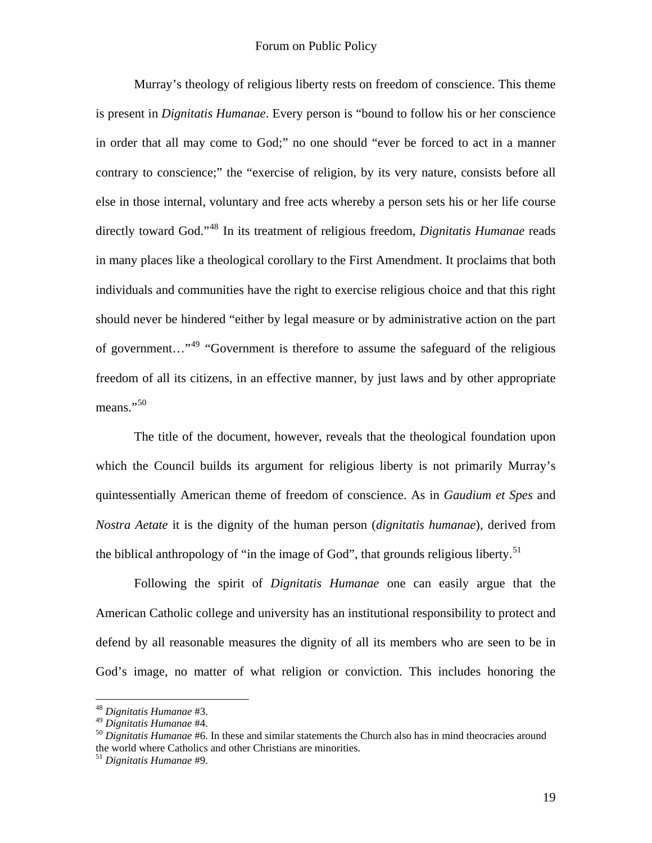Murray's theology of religious liberty rests on freedom of conscience. This theme is present in *Dignitatis Humanae*. Every person is "bound to follow his or her conscience in order that all may come to God;" no one should "ever be forced to act in a manner contrary to conscience;" the "exercise of religion, by its very nature, consists before all else in those internal, voluntary and free acts whereby a person sets his or her life course directly toward God."[48](#page-18-0) In its treatment of religious freedom, *Dignitatis Humanae* reads in many places like a theological corollary to the First Amendment. It proclaims that both individuals and communities have the right to exercise religious choice and that this right should never be hindered "either by legal measure or by administrative action on the part of government…"[49](#page-18-1) "Government is therefore to assume the safeguard of the religious freedom of all its citizens, in an effective manner, by just laws and by other appropriate means."<sup>[50](#page-18-2)</sup>

The title of the document, however, reveals that the theological foundation upon which the Council builds its argument for religious liberty is not primarily Murray's quintessentially American theme of freedom of conscience. As in *Gaudium et Spes* and *Nostra Aetate* it is the dignity of the human person (*dignitatis humanae*), derived from the biblical anthropology of "in the image of God", that grounds religious liberty.<sup>[51](#page-18-3)</sup>

Following the spirit of *Dignitatis Humanae* one can easily argue that the American Catholic college and university has an institutional responsibility to protect and defend by all reasonable measures the dignity of all its members who are seen to be in God's image, no matter of what religion or conviction. This includes honoring the

<span id="page-18-0"></span><sup>48</sup> *Dignitatis Humanae* #3.

<span id="page-18-2"></span><span id="page-18-1"></span><sup>&</sup>lt;sup>50</sup> *Dignitatis Humanae* #6. In these and similar statements the Church also has in mind theocracies around the world where Catholics and other Christians are minorities.

<span id="page-18-3"></span><sup>51</sup> *Dignitatis Humanae* #9.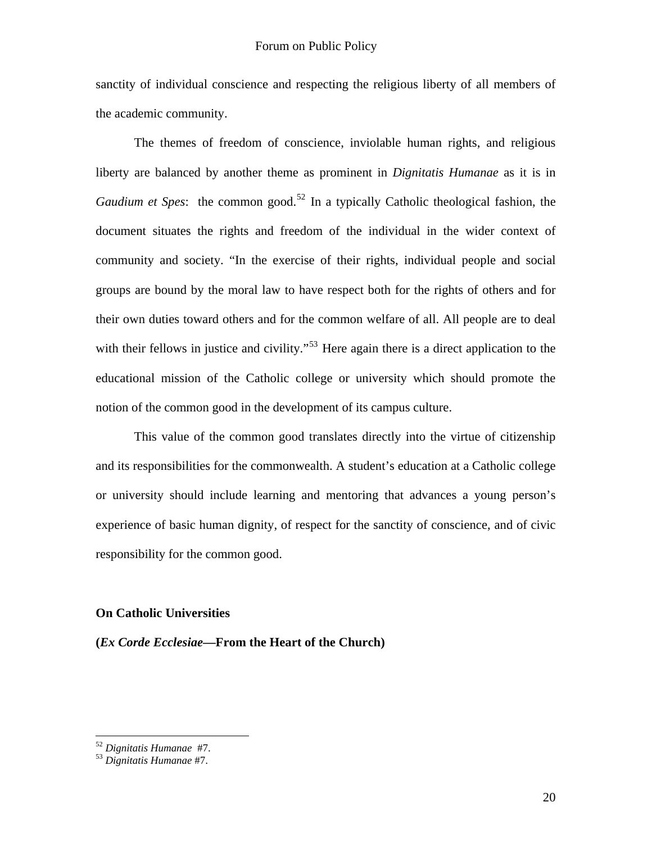sanctity of individual conscience and respecting the religious liberty of all members of the academic community.

 The themes of freedom of conscience, inviolable human rights, and religious liberty are balanced by another theme as prominent in *Dignitatis Humanae* as it is in *Gaudium et Spes*: the common good.<sup>[52](#page-19-0)</sup> In a typically Catholic theological fashion, the document situates the rights and freedom of the individual in the wider context of community and society. "In the exercise of their rights, individual people and social groups are bound by the moral law to have respect both for the rights of others and for their own duties toward others and for the common welfare of all. All people are to deal with their fellows in justice and civility."<sup>[53](#page-19-1)</sup> Here again there is a direct application to the educational mission of the Catholic college or university which should promote the notion of the common good in the development of its campus culture.

This value of the common good translates directly into the virtue of citizenship and its responsibilities for the commonwealth. A student's education at a Catholic college or university should include learning and mentoring that advances a young person's experience of basic human dignity, of respect for the sanctity of conscience, and of civic responsibility for the common good.

## **On Catholic Universities**

**(***Ex Corde Ecclesiae***—From the Heart of the Church)** 

<span id="page-19-0"></span><sup>&</sup>lt;sup>52</sup> Dignitatis Humanae #7.<br><sup>53</sup> Dignitatis Humanae #7.

<span id="page-19-1"></span>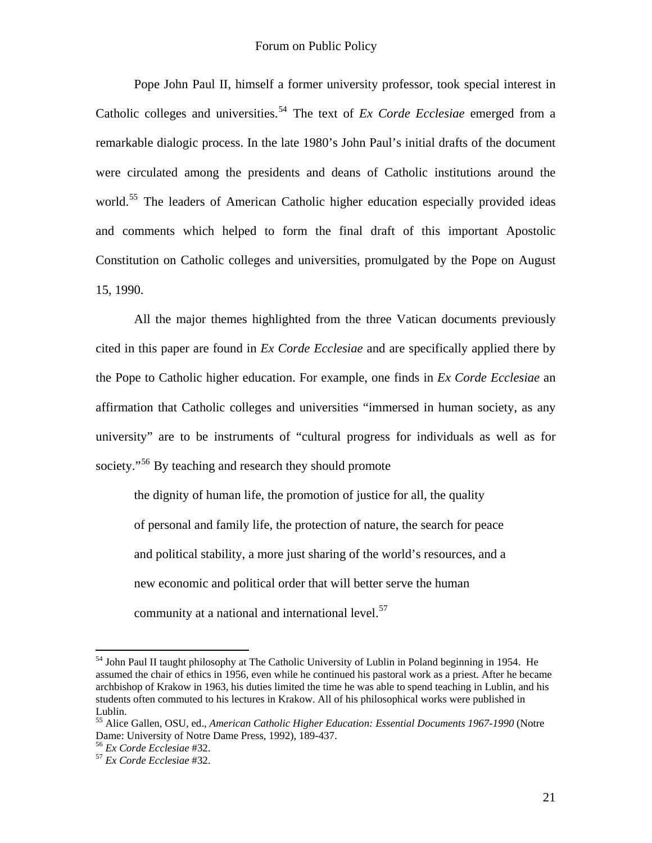Pope John Paul II, himself a former university professor, took special interest in Catholic colleges and universities.<sup>[54](#page-20-0)</sup> The text of *Ex Corde Ecclesiae* emerged from a remarkable dialogic process. In the late 1980's John Paul's initial drafts of the document were circulated among the presidents and deans of Catholic institutions around the world.<sup>[55](#page-20-1)</sup> The leaders of American Catholic higher education especially provided ideas and comments which helped to form the final draft of this important Apostolic Constitution on Catholic colleges and universities, promulgated by the Pope on August 15, 1990.

 All the major themes highlighted from the three Vatican documents previously cited in this paper are found in *Ex Corde Ecclesiae* and are specifically applied there by the Pope to Catholic higher education. For example, one finds in *Ex Corde Ecclesiae* an affirmation that Catholic colleges and universities "immersed in human society, as any university" are to be instruments of "cultural progress for individuals as well as for society."<sup>[56](#page-20-2)</sup> By teaching and research they should promote

the dignity of human life, the promotion of justice for all, the quality of personal and family life, the protection of nature, the search for peace and political stability, a more just sharing of the world's resources, and a new economic and political order that will better serve the human community at a national and international level.<sup>[57](#page-20-3)</sup>

<span id="page-20-0"></span><sup>&</sup>lt;sup>54</sup> John Paul II taught philosophy at The Catholic University of Lublin in Poland beginning in 1954. He assumed the chair of ethics in 1956, even while he continued his pastoral work as a priest. After he became archbishop of Krakow in 1963, his duties limited the time he was able to spend teaching in Lublin, and his students often commuted to his lectures in Krakow. All of his philosophical works were published in Lublin.

<span id="page-20-1"></span><sup>55</sup> Alice Gallen, OSU, ed., *American Catholic Higher Education: Essential Documents 1967-1990* (Notre Dame: University of Notre Dame Press, 1992), 189-437.

<span id="page-20-3"></span><span id="page-20-2"></span><sup>56</sup> *Ex Corde Ecclesiae* #32. 57 *Ex Corde Ecclesiae* #32.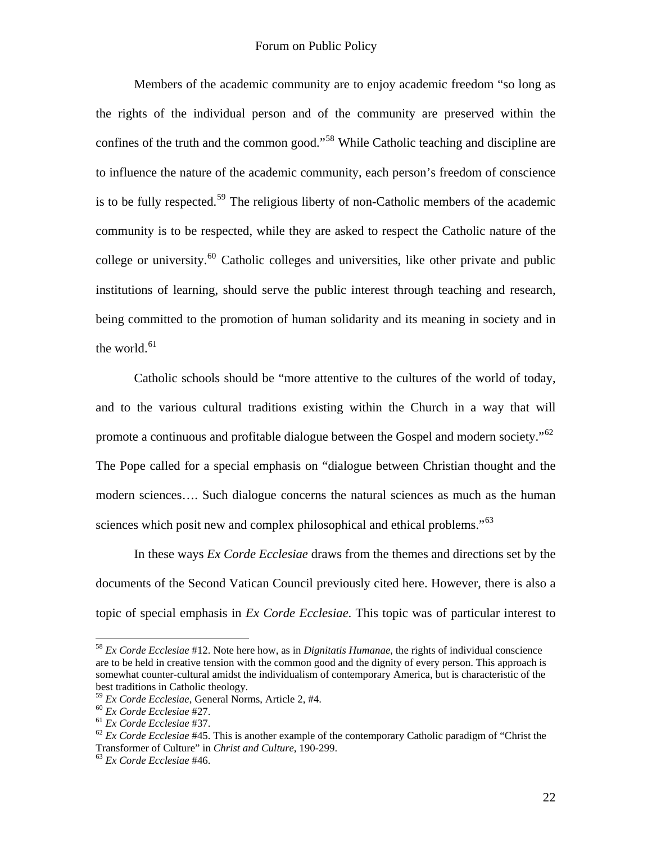Members of the academic community are to enjoy academic freedom "so long as the rights of the individual person and of the community are preserved within the confines of the truth and the common good."[58](#page-21-0) While Catholic teaching and discipline are to influence the nature of the academic community, each person's freedom of conscience is to be fully respected.<sup>[59](#page-21-1)</sup> The religious liberty of non-Catholic members of the academic community is to be respected, while they are asked to respect the Catholic nature of the college or university.<sup>[60](#page-21-2)</sup> Catholic colleges and universities, like other private and public institutions of learning, should serve the public interest through teaching and research, being committed to the promotion of human solidarity and its meaning in society and in the world. $61$ 

 Catholic schools should be "more attentive to the cultures of the world of today, and to the various cultural traditions existing within the Church in a way that will promote a continuous and profitable dialogue between the Gospel and modern society."[62](#page-21-4) The Pope called for a special emphasis on "dialogue between Christian thought and the modern sciences…. Such dialogue concerns the natural sciences as much as the human sciences which posit new and complex philosophical and ethical problems."<sup>[63](#page-21-5)</sup>

 In these ways *Ex Corde Ecclesiae* draws from the themes and directions set by the documents of the Second Vatican Council previously cited here. However, there is also a topic of special emphasis in *Ex Corde Ecclesiae*. This topic was of particular interest to

<span id="page-21-0"></span><sup>58</sup> *Ex Corde Ecclesiae* #12. Note here how, as in *Dignitatis Humanae*, the rights of individual conscience are to be held in creative tension with the common good and the dignity of every person. This approach is somewhat counter-cultural amidst the individualism of contemporary America, but is characteristic of the best traditions in Catholic theology.<br><sup>59</sup> Ex Corde Ecclesiae, General Norms, Article 2, #4.

<span id="page-21-4"></span>

<span id="page-21-3"></span><span id="page-21-2"></span><span id="page-21-1"></span><sup>&</sup>lt;sup>60</sup> Ex Corde Ecclesiae #27.<br><sup>61</sup> Ex Corde Ecclesiae #37.<br><sup>62</sup> Ex Corde Ecclesiae #45. This is another example of the contemporary Catholic paradigm of "Christ the Transformer of Culture" in *Christ and Culture*, 190-299. 63 *Ex Corde Ecclesiae* #46.

<span id="page-21-5"></span>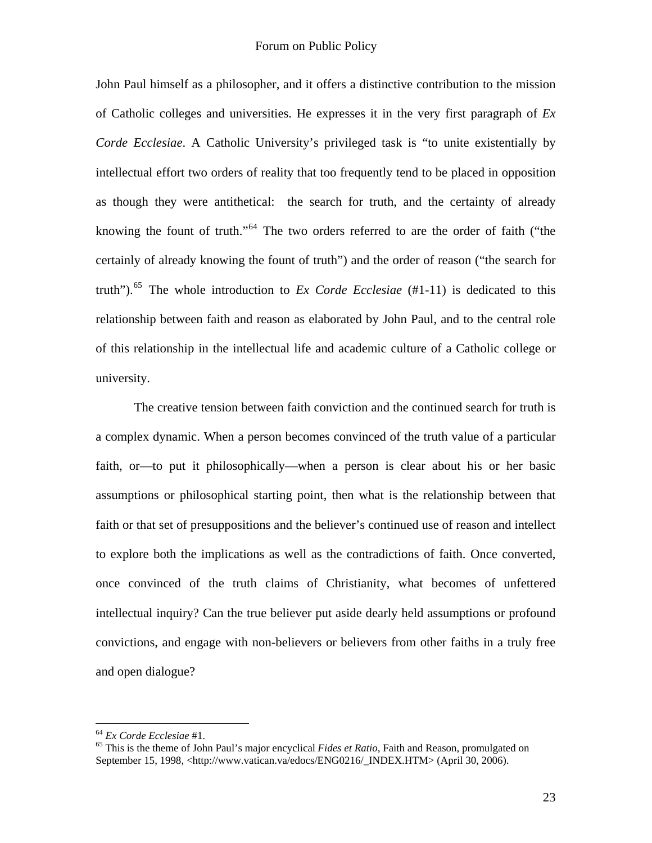John Paul himself as a philosopher, and it offers a distinctive contribution to the mission of Catholic colleges and universities. He expresses it in the very first paragraph of *Ex Corde Ecclesiae*. A Catholic University's privileged task is "to unite existentially by intellectual effort two orders of reality that too frequently tend to be placed in opposition as though they were antithetical: the search for truth, and the certainty of already knowing the fount of truth."[64](#page-22-0) The two orders referred to are the order of faith ("the certainly of already knowing the fount of truth") and the order of reason ("the search for truth").[65](#page-22-1) The whole introduction to *Ex Corde Ecclesiae* (#1-11) is dedicated to this relationship between faith and reason as elaborated by John Paul, and to the central role of this relationship in the intellectual life and academic culture of a Catholic college or university.

 The creative tension between faith conviction and the continued search for truth is a complex dynamic. When a person becomes convinced of the truth value of a particular faith, or—to put it philosophically—when a person is clear about his or her basic assumptions or philosophical starting point, then what is the relationship between that faith or that set of presuppositions and the believer's continued use of reason and intellect to explore both the implications as well as the contradictions of faith. Once converted, once convinced of the truth claims of Christianity, what becomes of unfettered intellectual inquiry? Can the true believer put aside dearly held assumptions or profound convictions, and engage with non-believers or believers from other faiths in a truly free and open dialogue?

1

<span id="page-22-1"></span><span id="page-22-0"></span><sup>64</sup> *Ex Corde Ecclesiae* #1. 65 This is the theme of John Paul's major encyclical *Fides et Ratio*, Faith and Reason, promulgated on September 15, 1998, <[http://www.vatican.va/edocs/ENG0216/\\_INDEX.HTM](http://www.vatican.va/edocs/ENG0216/_INDEX.HTM)> (April 30, 2006).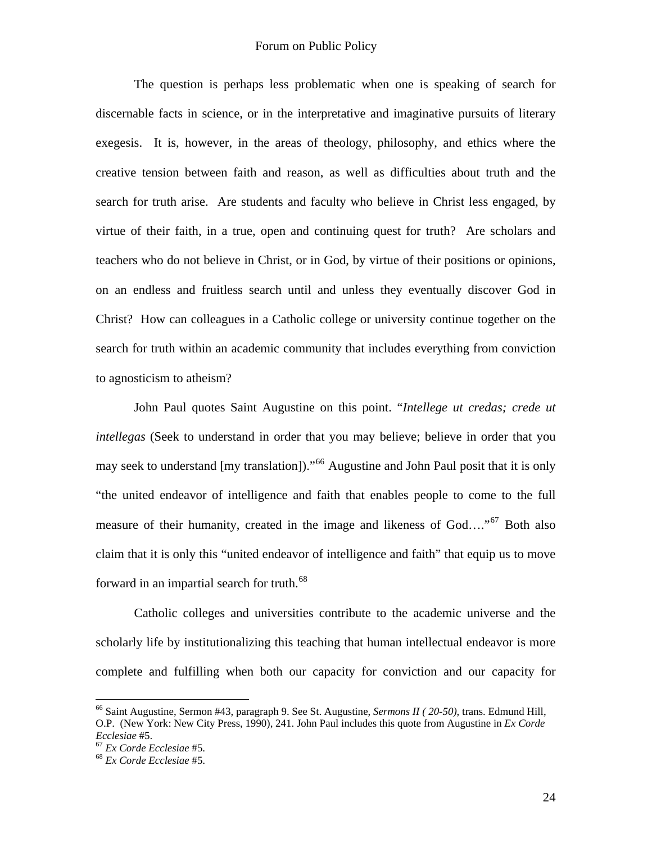The question is perhaps less problematic when one is speaking of search for discernable facts in science, or in the interpretative and imaginative pursuits of literary exegesis. It is, however, in the areas of theology, philosophy, and ethics where the creative tension between faith and reason, as well as difficulties about truth and the search for truth arise. Are students and faculty who believe in Christ less engaged, by virtue of their faith, in a true, open and continuing quest for truth? Are scholars and teachers who do not believe in Christ, or in God, by virtue of their positions or opinions, on an endless and fruitless search until and unless they eventually discover God in Christ? How can colleagues in a Catholic college or university continue together on the search for truth within an academic community that includes everything from conviction to agnosticism to atheism?

John Paul quotes Saint Augustine on this point. "*Intellege ut credas; crede ut intellegas* (Seek to understand in order that you may believe; believe in order that you may seek to understand [my translation])."<sup>[66](#page-23-0)</sup> Augustine and John Paul posit that it is only "the united endeavor of intelligence and faith that enables people to come to the full measure of their humanity, created in the image and likeness of God...."<sup>[67](#page-23-1)</sup> Both also claim that it is only this "united endeavor of intelligence and faith" that equip us to move forward in an impartial search for truth.<sup>[68](#page-23-2)</sup>

Catholic colleges and universities contribute to the academic universe and the scholarly life by institutionalizing this teaching that human intellectual endeavor is more complete and fulfilling when both our capacity for conviction and our capacity for

1

<span id="page-23-0"></span><sup>66</sup> Saint Augustine, Sermon #43, paragraph 9. See St. Augustine, *Sermons II ( 20-50)*, trans. Edmund Hill, O.P. (New York: New City Press, 1990), 241. John Paul includes this quote from Augustine in *Ex Corde Ecclesiae* #5. 67 *Ex Corde Ecclesiae* #5. 68 *Ex Corde Ecclesiae* #5.

<span id="page-23-1"></span>

<span id="page-23-2"></span>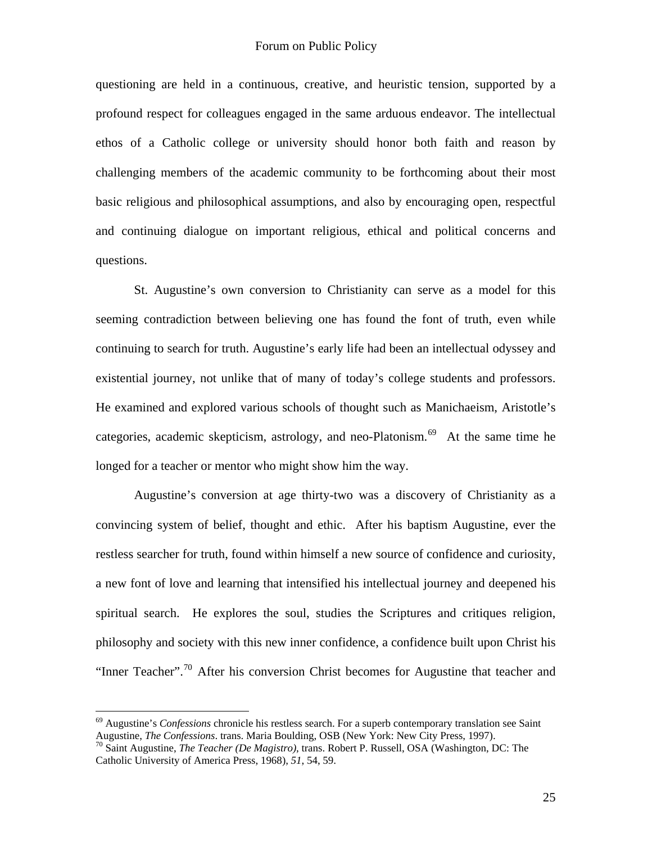questioning are held in a continuous, creative, and heuristic tension, supported by a profound respect for colleagues engaged in the same arduous endeavor. The intellectual ethos of a Catholic college or university should honor both faith and reason by challenging members of the academic community to be forthcoming about their most basic religious and philosophical assumptions, and also by encouraging open, respectful and continuing dialogue on important religious, ethical and political concerns and questions.

St. Augustine's own conversion to Christianity can serve as a model for this seeming contradiction between believing one has found the font of truth, even while continuing to search for truth. Augustine's early life had been an intellectual odyssey and existential journey, not unlike that of many of today's college students and professors. He examined and explored various schools of thought such as Manichaeism, Aristotle's categories, academic skepticism, astrology, and neo-Platonism.<sup>[69](#page-24-0)</sup> At the same time he longed for a teacher or mentor who might show him the way.

Augustine's conversion at age thirty-two was a discovery of Christianity as a convincing system of belief, thought and ethic. After his baptism Augustine, ever the restless searcher for truth, found within himself a new source of confidence and curiosity, a new font of love and learning that intensified his intellectual journey and deepened his spiritual search. He explores the soul, studies the Scriptures and critiques religion, philosophy and society with this new inner confidence, a confidence built upon Christ his "Inner Teacher".<sup>[70](#page-24-1)</sup> After his conversion Christ becomes for Augustine that teacher and

<span id="page-24-0"></span><sup>69</sup> Augustine's *Confessions* chronicle his restless search. For a superb contemporary translation see Saint Augustine, *The Confessions*. trans. Maria Boulding, OSB (New York: New City Press, 1997). 70 Saint Augustine, *The Teacher (De Magistro)*, trans. Robert P. Russell, OSA (Washington, DC: The

<span id="page-24-1"></span>Catholic University of America Press, 1968), *51*, 54, 59.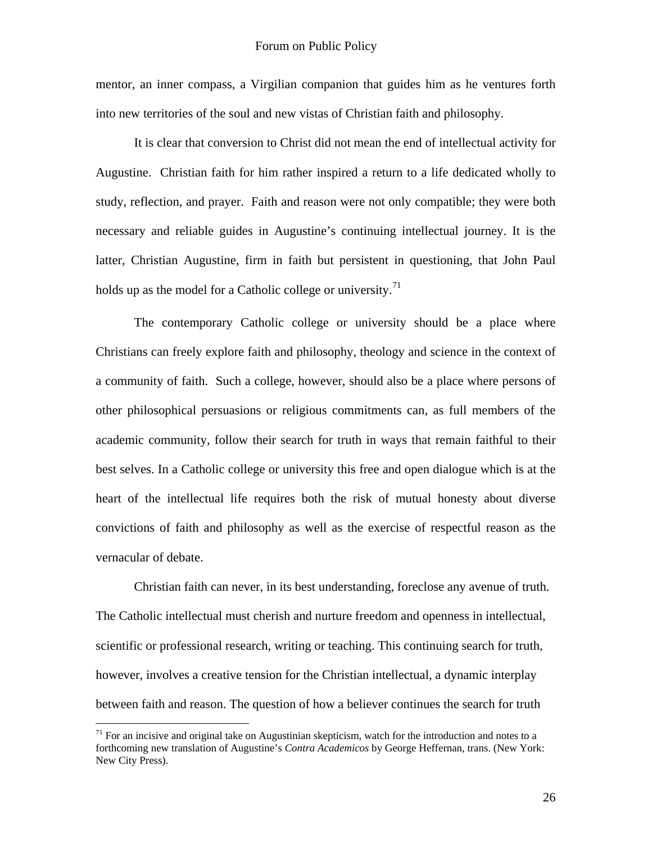mentor, an inner compass, a Virgilian companion that guides him as he ventures forth into new territories of the soul and new vistas of Christian faith and philosophy.

It is clear that conversion to Christ did not mean the end of intellectual activity for Augustine. Christian faith for him rather inspired a return to a life dedicated wholly to study, reflection, and prayer. Faith and reason were not only compatible; they were both necessary and reliable guides in Augustine's continuing intellectual journey. It is the latter, Christian Augustine, firm in faith but persistent in questioning, that John Paul holds up as the model for a Catholic college or university.<sup>[71](#page-25-0)</sup>

The contemporary Catholic college or university should be a place where Christians can freely explore faith and philosophy, theology and science in the context of a community of faith. Such a college, however, should also be a place where persons of other philosophical persuasions or religious commitments can, as full members of the academic community, follow their search for truth in ways that remain faithful to their best selves. In a Catholic college or university this free and open dialogue which is at the heart of the intellectual life requires both the risk of mutual honesty about diverse convictions of faith and philosophy as well as the exercise of respectful reason as the vernacular of debate.

Christian faith can never, in its best understanding, foreclose any avenue of truth. The Catholic intellectual must cherish and nurture freedom and openness in intellectual, scientific or professional research, writing or teaching. This continuing search for truth, however, involves a creative tension for the Christian intellectual, a dynamic interplay between faith and reason. The question of how a believer continues the search for truth

<span id="page-25-0"></span> $71$  For an incisive and original take on Augustinian skepticism, watch for the introduction and notes to a forthcoming new translation of Augustine's *Contra Academicos* by George Heffernan, trans. (New York: New City Press).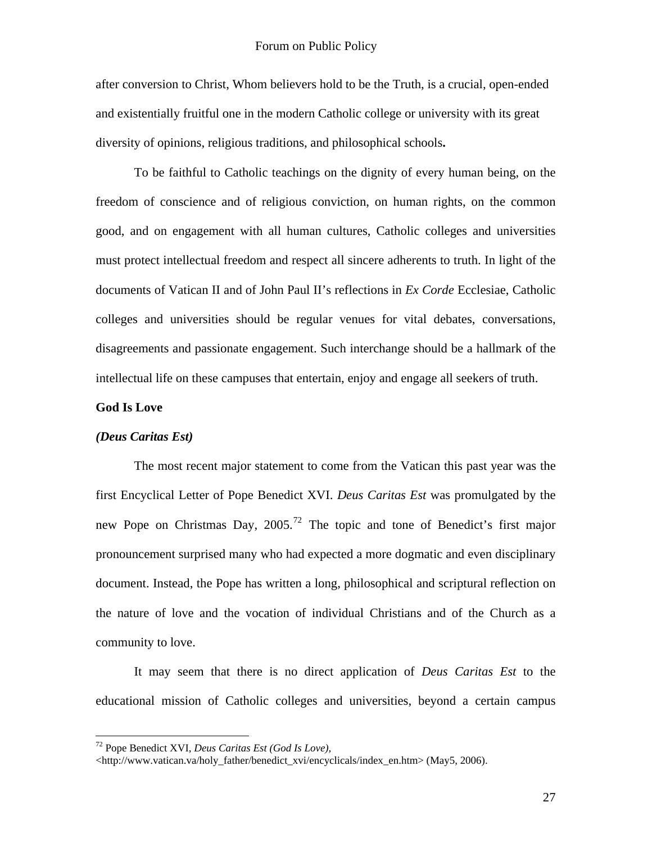after conversion to Christ, Whom believers hold to be the Truth, is a crucial, open-ended and existentially fruitful one in the modern Catholic college or university with its great diversity of opinions, religious traditions, and philosophical schools**.** 

To be faithful to Catholic teachings on the dignity of every human being, on the freedom of conscience and of religious conviction, on human rights, on the common good, and on engagement with all human cultures, Catholic colleges and universities must protect intellectual freedom and respect all sincere adherents to truth. In light of the documents of Vatican II and of John Paul II's reflections in *Ex Corde* Ecclesiae, Catholic colleges and universities should be regular venues for vital debates, conversations, disagreements and passionate engagement. Such interchange should be a hallmark of the intellectual life on these campuses that entertain, enjoy and engage all seekers of truth.

## **God Is Love**

 $\overline{a}$ 

#### *(Deus Caritas Est)*

The most recent major statement to come from the Vatican this past year was the first Encyclical Letter of Pope Benedict XVI. *Deus Caritas Est* was promulgated by the new Pope on Christmas Day, 2005.<sup>[72](#page-26-0)</sup> The topic and tone of Benedict's first major pronouncement surprised many who had expected a more dogmatic and even disciplinary document. Instead, the Pope has written a long, philosophical and scriptural reflection on the nature of love and the vocation of individual Christians and of the Church as a community to love.

 It may seem that there is no direct application of *Deus Caritas Est* to the educational mission of Catholic colleges and universities, beyond a certain campus

<span id="page-26-0"></span><sup>72</sup> Pope Benedict XVI, *Deus Caritas Est (God Is Love),*

<sup>&</sup>lt;[http://www.vatican.va/holy\\_father/benedict\\_xvi/encyclicals/index\\_en.htm>](http://www.vatican.va/holy_father/benedict_xvi/encyclicals/index_en.htm) (May5, 2006).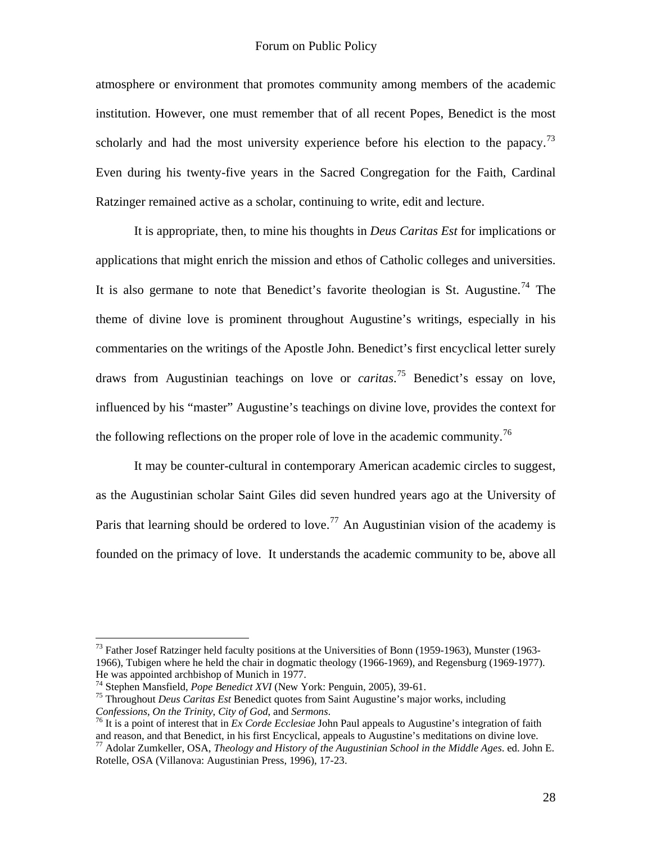atmosphere or environment that promotes community among members of the academic institution. However, one must remember that of all recent Popes, Benedict is the most scholarly and had the most university experience before his election to the papacy.<sup>[73](#page-27-0)</sup> Even during his twenty-five years in the Sacred Congregation for the Faith, Cardinal Ratzinger remained active as a scholar, continuing to write, edit and lecture.

 It is appropriate, then, to mine his thoughts in *Deus Caritas Est* for implications or applications that might enrich the mission and ethos of Catholic colleges and universities. It is also germane to note that Benedict's favorite theologian is St. Augustine.<sup>[74](#page-27-1)</sup> The theme of divine love is prominent throughout Augustine's writings, especially in his commentaries on the writings of the Apostle John. Benedict's first encyclical letter surely draws from Augustinian teachings on love or *caritas*. [75](#page-27-2) Benedict's essay on love, influenced by his "master" Augustine's teachings on divine love, provides the context for the following reflections on the proper role of love in the academic community.<sup>[76](#page-27-3)</sup>

It may be counter-cultural in contemporary American academic circles to suggest, as the Augustinian scholar Saint Giles did seven hundred years ago at the University of Paris that learning should be ordered to love.<sup>[77](#page-27-4)</sup> An Augustinian vision of the academy is founded on the primacy of love. It understands the academic community to be, above all

1

<span id="page-27-0"></span> $^{73}$  Father Josef Ratzinger held faculty positions at the Universities of Bonn (1959-1963), Munster (1963-1966), Tubigen where he held the chair in dogmatic theology (1966-1969), and Regensburg (1969-1977). He was appointed archbishop of Munich in 1977.<br><sup>74</sup> Stephen Mansfield, *Pope Benedict XVI* (New York: Penguin, 2005), 39-61.

<span id="page-27-2"></span><span id="page-27-1"></span><sup>&</sup>lt;sup>75</sup> Throughout *Deus Caritas Est* Benedict quotes from Saint Augustine's major works, including *Confessions, On the Trinity, City of God*, and *Sermons*.

<span id="page-27-3"></span><sup>&</sup>lt;sup>76</sup> It is a point of interest that in *Ex Corde Ecclesiae* John Paul appeals to Augustine's integration of faith and reason, and that Benedict, in his first Encyclical, appeals to Augustine's meditations on divine love.

<span id="page-27-4"></span><sup>77</sup> Adolar Zumkeller, OSA, *Theology and History of the Augustinian School in the Middle Ages*. ed. John E. Rotelle, OSA (Villanova: Augustinian Press, 1996), 17-23.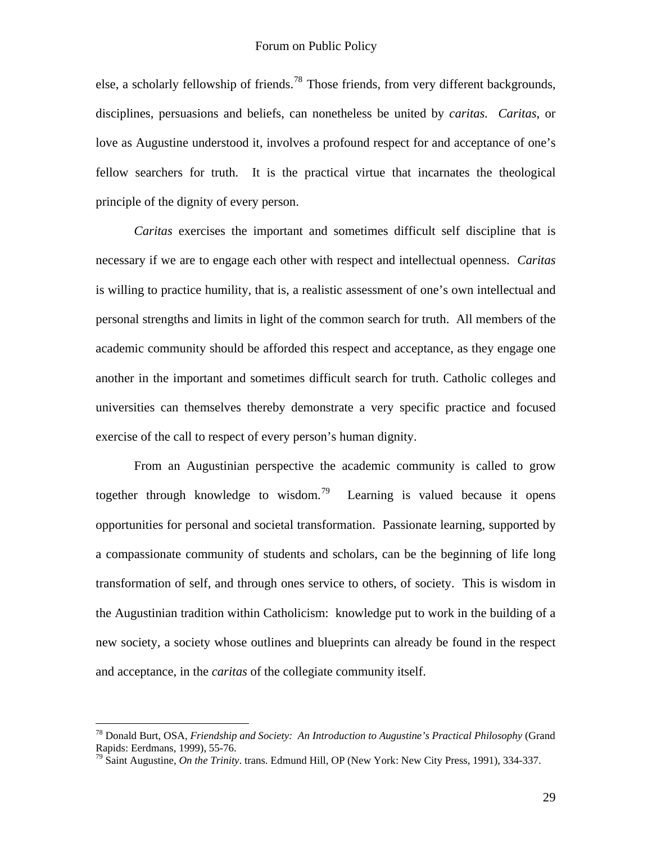else, a scholarly fellowship of friends.<sup>[78](#page-28-0)</sup> Those friends, from very different backgrounds, disciplines, persuasions and beliefs, can nonetheless be united by *caritas. Caritas*, or love as Augustine understood it, involves a profound respect for and acceptance of one's fellow searchers for truth. It is the practical virtue that incarnates the theological principle of the dignity of every person.

*Caritas* exercises the important and sometimes difficult self discipline that is necessary if we are to engage each other with respect and intellectual openness. *Caritas* is willing to practice humility, that is, a realistic assessment of one's own intellectual and personal strengths and limits in light of the common search for truth. All members of the academic community should be afforded this respect and acceptance, as they engage one another in the important and sometimes difficult search for truth. Catholic colleges and universities can themselves thereby demonstrate a very specific practice and focused exercise of the call to respect of every person's human dignity.

 From an Augustinian perspective the academic community is called to grow together through knowledge to wisdom.<sup>[79](#page-28-1)</sup> Learning is valued because it opens opportunities for personal and societal transformation. Passionate learning, supported by a compassionate community of students and scholars, can be the beginning of life long transformation of self, and through ones service to others, of society. This is wisdom in the Augustinian tradition within Catholicism: knowledge put to work in the building of a new society, a society whose outlines and blueprints can already be found in the respect and acceptance, in the *caritas* of the collegiate community itself.

<span id="page-28-0"></span><sup>78</sup> Donald Burt, OSA, *Friendship and Society: An Introduction to Augustine's Practical Philosophy* (Grand Rapids: Eerdmans, 1999), 55-76.

<span id="page-28-1"></span><sup>79</sup> Saint Augustine, *On the Trinity*. trans. Edmund Hill, OP (New York: New City Press, 1991), 334-337.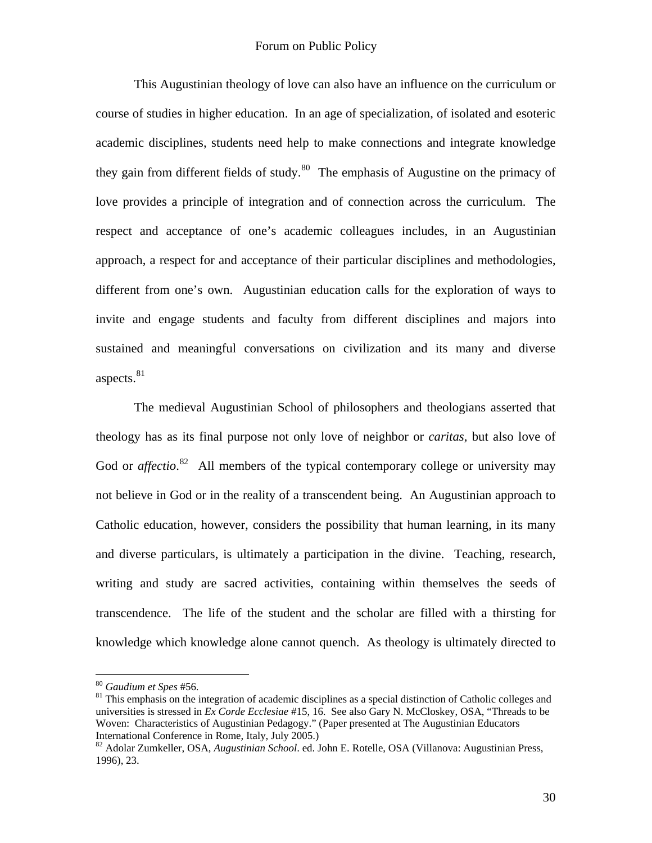This Augustinian theology of love can also have an influence on the curriculum or course of studies in higher education. In an age of specialization, of isolated and esoteric academic disciplines, students need help to make connections and integrate knowledge they gain from different fields of study.<sup>[80](#page-29-0)</sup> The emphasis of Augustine on the primacy of love provides a principle of integration and of connection across the curriculum. The respect and acceptance of one's academic colleagues includes, in an Augustinian approach, a respect for and acceptance of their particular disciplines and methodologies, different from one's own. Augustinian education calls for the exploration of ways to invite and engage students and faculty from different disciplines and majors into sustained and meaningful conversations on civilization and its many and diverse aspects.<sup>[81](#page-29-1)</sup>

 The medieval Augustinian School of philosophers and theologians asserted that theology has as its final purpose not only love of neighbor or *caritas*, but also love of God or *affectio*.<sup>[82](#page-29-2)</sup> All members of the typical contemporary college or university may not believe in God or in the reality of a transcendent being. An Augustinian approach to Catholic education, however, considers the possibility that human learning, in its many and diverse particulars, is ultimately a participation in the divine. Teaching, research, writing and study are sacred activities, containing within themselves the seeds of transcendence. The life of the student and the scholar are filled with a thirsting for knowledge which knowledge alone cannot quench. As theology is ultimately directed to

<span id="page-29-0"></span><sup>&</sup>lt;sup>80</sup> Gaudium et Spes #56.

<span id="page-29-1"></span><sup>&</sup>lt;sup>81</sup> This emphasis on the integration of academic disciplines as a special distinction of Catholic colleges and universities is stressed in *Ex Corde Ecclesiae* #15, 16. See also Gary N. McCloskey, OSA, "Threads to be Woven: Characteristics of Augustinian Pedagogy." (Paper presented at The Augustinian Educators International Conference in Rome, Italy, July 2005.)<br><sup>82</sup> Adolar Zumkeller, OSA, *Augustinian School*. ed. John E. Rotelle, OSA (Villanova: Augustinian Press,

<span id="page-29-2"></span><sup>1996), 23.</sup>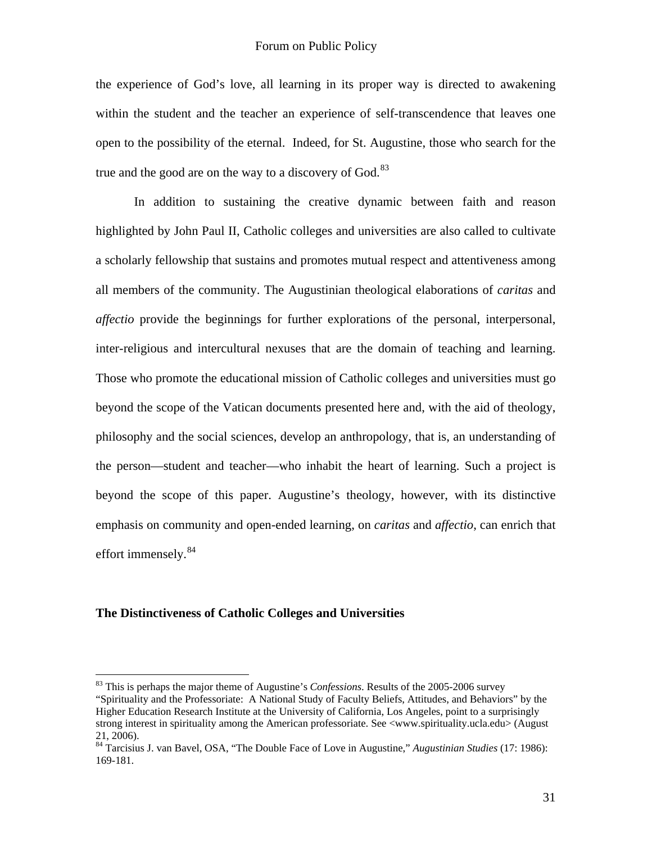the experience of God's love, all learning in its proper way is directed to awakening within the student and the teacher an experience of self-transcendence that leaves one open to the possibility of the eternal. Indeed, for St. Augustine, those who search for the true and the good are on the way to a discovery of  $God.<sup>83</sup>$  $God.<sup>83</sup>$  $God.<sup>83</sup>$ 

 In addition to sustaining the creative dynamic between faith and reason highlighted by John Paul II, Catholic colleges and universities are also called to cultivate a scholarly fellowship that sustains and promotes mutual respect and attentiveness among all members of the community. The Augustinian theological elaborations of *caritas* and *affectio* provide the beginnings for further explorations of the personal, interpersonal, inter-religious and intercultural nexuses that are the domain of teaching and learning. Those who promote the educational mission of Catholic colleges and universities must go beyond the scope of the Vatican documents presented here and, with the aid of theology, philosophy and the social sciences, develop an anthropology, that is, an understanding of the person—student and teacher—who inhabit the heart of learning. Such a project is beyond the scope of this paper. Augustine's theology, however, with its distinctive emphasis on community and open-ended learning, on *caritas* and *affectio*, can enrich that effort immensely.<sup>[84](#page-30-1)</sup>

## **The Distinctiveness of Catholic Colleges and Universities**

<u>.</u>

<span id="page-30-0"></span><sup>83</sup> This is perhaps the major theme of Augustine's *Confessions*. Results of the 2005-2006 survey "Spirituality and the Professoriate: A National Study of Faculty Beliefs, Attitudes, and Behaviors" by the Higher Education Research Institute at the University of California, Los Angeles, point to a surprisingly strong interest in spirituality among the American professoriate. See [<www.spirituality.ucla.edu>](http://www.spirituality.ucla.edu/) (August 21, 2006).

<span id="page-30-1"></span><sup>84</sup> Tarcisius J. van Bavel, OSA, "The Double Face of Love in Augustine," *Augustinian Studies* (17: 1986): 169-181.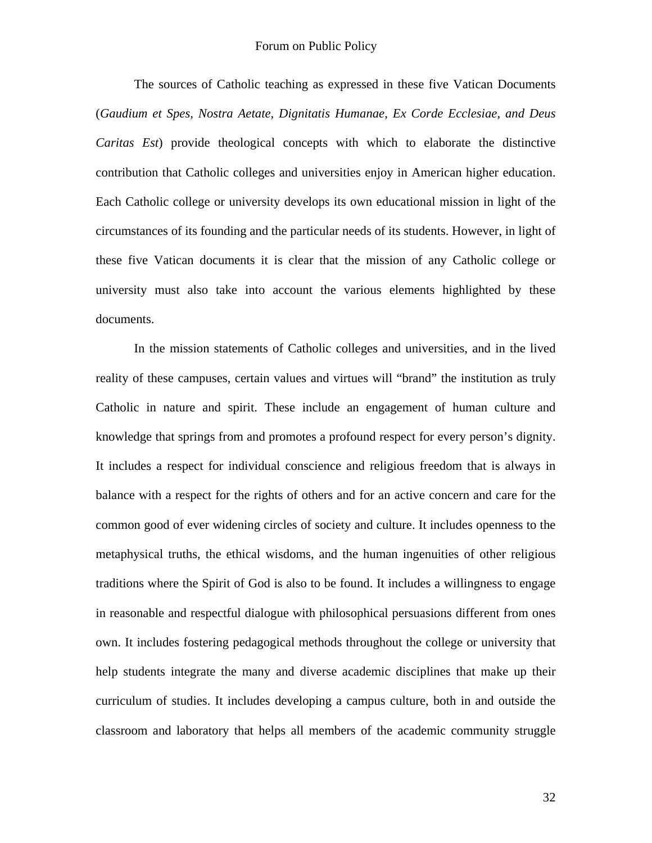The sources of Catholic teaching as expressed in these five Vatican Documents (*Gaudium et Spes, Nostra Aetate, Dignitatis Humanae, Ex Corde Ecclesiae, and Deus Caritas Est*) provide theological concepts with which to elaborate the distinctive contribution that Catholic colleges and universities enjoy in American higher education. Each Catholic college or university develops its own educational mission in light of the circumstances of its founding and the particular needs of its students. However, in light of these five Vatican documents it is clear that the mission of any Catholic college or university must also take into account the various elements highlighted by these documents.

 In the mission statements of Catholic colleges and universities, and in the lived reality of these campuses, certain values and virtues will "brand" the institution as truly Catholic in nature and spirit. These include an engagement of human culture and knowledge that springs from and promotes a profound respect for every person's dignity. It includes a respect for individual conscience and religious freedom that is always in balance with a respect for the rights of others and for an active concern and care for the common good of ever widening circles of society and culture. It includes openness to the metaphysical truths, the ethical wisdoms, and the human ingenuities of other religious traditions where the Spirit of God is also to be found. It includes a willingness to engage in reasonable and respectful dialogue with philosophical persuasions different from ones own. It includes fostering pedagogical methods throughout the college or university that help students integrate the many and diverse academic disciplines that make up their curriculum of studies. It includes developing a campus culture, both in and outside the classroom and laboratory that helps all members of the academic community struggle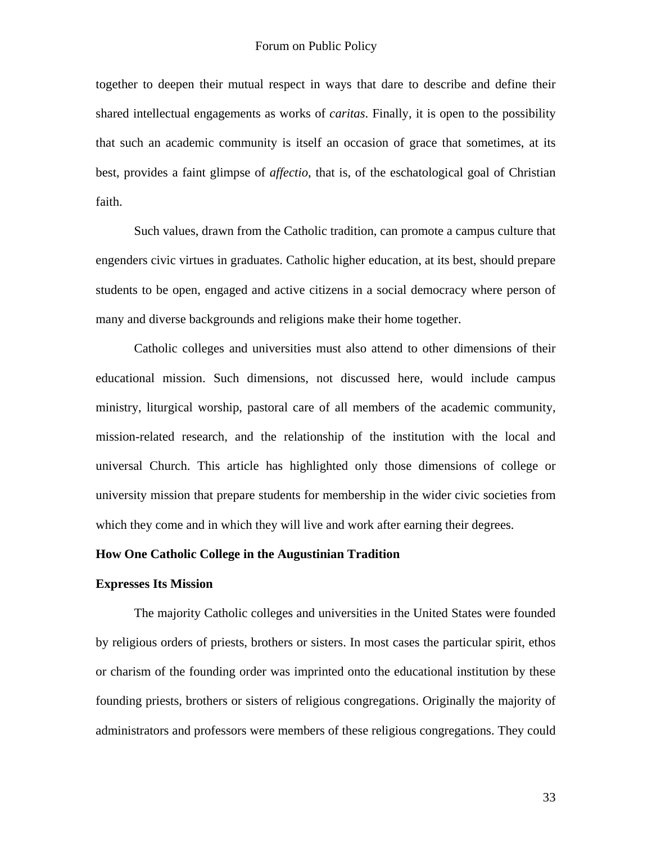together to deepen their mutual respect in ways that dare to describe and define their shared intellectual engagements as works of *caritas*. Finally, it is open to the possibility that such an academic community is itself an occasion of grace that sometimes, at its best, provides a faint glimpse of *affectio*, that is, of the eschatological goal of Christian faith.

 Such values, drawn from the Catholic tradition, can promote a campus culture that engenders civic virtues in graduates. Catholic higher education, at its best, should prepare students to be open, engaged and active citizens in a social democracy where person of many and diverse backgrounds and religions make their home together.

 Catholic colleges and universities must also attend to other dimensions of their educational mission. Such dimensions, not discussed here, would include campus ministry, liturgical worship, pastoral care of all members of the academic community, mission-related research, and the relationship of the institution with the local and universal Church. This article has highlighted only those dimensions of college or university mission that prepare students for membership in the wider civic societies from which they come and in which they will live and work after earning their degrees.

## **How One Catholic College in the Augustinian Tradition**

#### **Expresses Its Mission**

The majority Catholic colleges and universities in the United States were founded by religious orders of priests, brothers or sisters. In most cases the particular spirit, ethos or charism of the founding order was imprinted onto the educational institution by these founding priests, brothers or sisters of religious congregations. Originally the majority of administrators and professors were members of these religious congregations. They could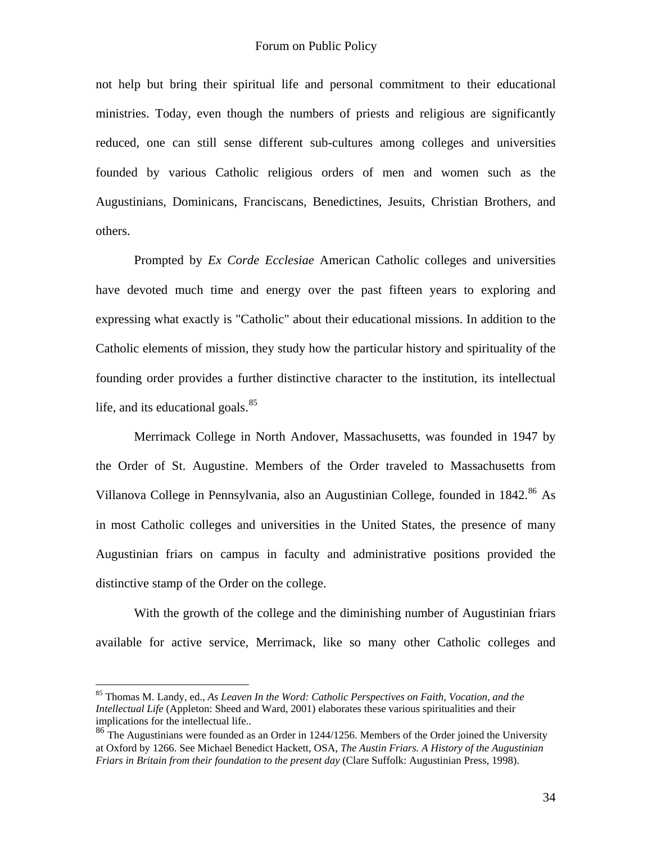not help but bring their spiritual life and personal commitment to their educational ministries. Today, even though the numbers of priests and religious are significantly reduced, one can still sense different sub-cultures among colleges and universities founded by various Catholic religious orders of men and women such as the Augustinians, Dominicans, Franciscans, Benedictines, Jesuits, Christian Brothers, and others.

Prompted by *Ex Corde Ecclesiae* American Catholic colleges and universities have devoted much time and energy over the past fifteen years to exploring and expressing what exactly is "Catholic" about their educational missions. In addition to the Catholic elements of mission, they study how the particular history and spirituality of the founding order provides a further distinctive character to the institution, its intellectual life, and its educational goals. $85$ 

Merrimack College in North Andover, Massachusetts, was founded in 1947 by the Order of St. Augustine. Members of the Order traveled to Massachusetts from Villanova College in Pennsylvania, also an Augustinian College, founded in  $1842$ <sup>[86](#page-33-1)</sup> As in most Catholic colleges and universities in the United States, the presence of many Augustinian friars on campus in faculty and administrative positions provided the distinctive stamp of the Order on the college.

With the growth of the college and the diminishing number of Augustinian friars available for active service, Merrimack, like so many other Catholic colleges and

1

<span id="page-33-0"></span><sup>85</sup> Thomas M. Landy, ed., *As Leaven In the Word: Catholic Perspectives on Faith, Vocation, and the Intellectual Life* (Appleton: Sheed and Ward, 2001) elaborates these various spiritualities and their implications for the intellectual life..

<span id="page-33-1"></span><sup>&</sup>lt;sup>86</sup> The Augustinians were founded as an Order in 1244/1256. Members of the Order joined the University at Oxford by 1266. See Michael Benedict Hackett, OSA, *The Austin Friars. A History of the Augustinian Friars in Britain from their foundation to the present day* (Clare Suffolk: Augustinian Press, 1998).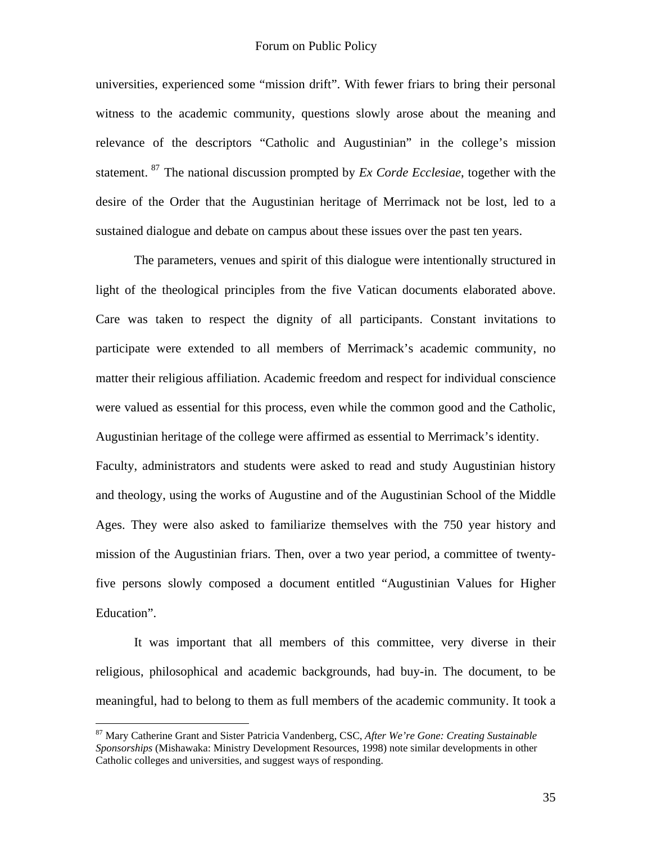universities, experienced some "mission drift". With fewer friars to bring their personal witness to the academic community, questions slowly arose about the meaning and relevance of the descriptors "Catholic and Augustinian" in the college's mission statement. [87](#page-34-0) The national discussion prompted by *Ex Corde Ecclesiae*, together with the desire of the Order that the Augustinian heritage of Merrimack not be lost, led to a sustained dialogue and debate on campus about these issues over the past ten years.

The parameters, venues and spirit of this dialogue were intentionally structured in light of the theological principles from the five Vatican documents elaborated above. Care was taken to respect the dignity of all participants. Constant invitations to participate were extended to all members of Merrimack's academic community, no matter their religious affiliation. Academic freedom and respect for individual conscience were valued as essential for this process, even while the common good and the Catholic, Augustinian heritage of the college were affirmed as essential to Merrimack's identity. Faculty, administrators and students were asked to read and study Augustinian history and theology, using the works of Augustine and of the Augustinian School of the Middle Ages. They were also asked to familiarize themselves with the 750 year history and mission of the Augustinian friars. Then, over a two year period, a committee of twentyfive persons slowly composed a document entitled "Augustinian Values for Higher Education".

 It was important that all members of this committee, very diverse in their religious, philosophical and academic backgrounds, had buy-in. The document, to be meaningful, had to belong to them as full members of the academic community. It took a

<span id="page-34-0"></span><sup>87</sup> Mary Catherine Grant and Sister Patricia Vandenberg, CSC, *After We're Gone: Creating Sustainable Sponsorships* (Mishawaka: Ministry Development Resources, 1998) note similar developments in other Catholic colleges and universities, and suggest ways of responding.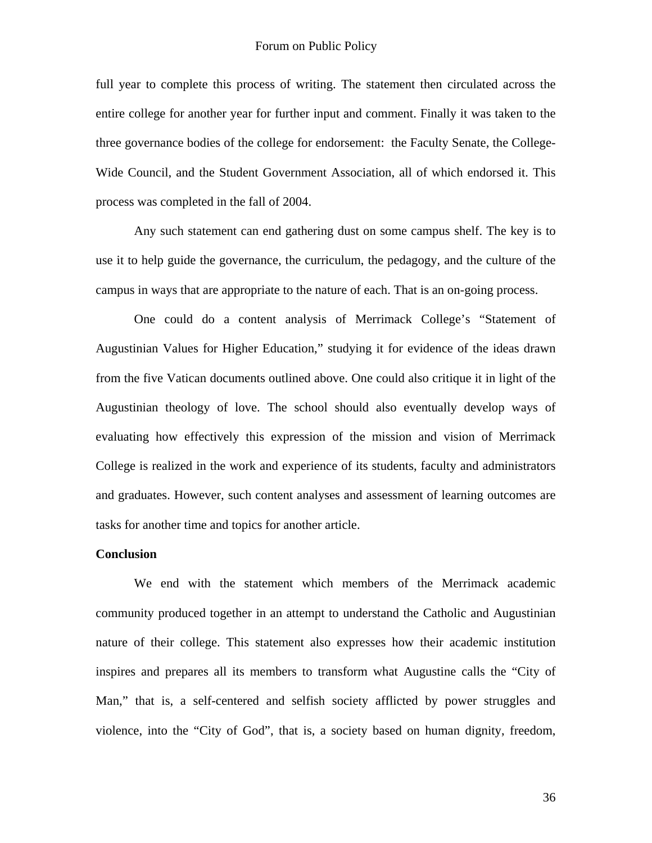full year to complete this process of writing. The statement then circulated across the entire college for another year for further input and comment. Finally it was taken to the three governance bodies of the college for endorsement: the Faculty Senate, the College-Wide Council, and the Student Government Association, all of which endorsed it. This process was completed in the fall of 2004.

 Any such statement can end gathering dust on some campus shelf. The key is to use it to help guide the governance, the curriculum, the pedagogy, and the culture of the campus in ways that are appropriate to the nature of each. That is an on-going process.

 One could do a content analysis of Merrimack College's "Statement of Augustinian Values for Higher Education," studying it for evidence of the ideas drawn from the five Vatican documents outlined above. One could also critique it in light of the Augustinian theology of love. The school should also eventually develop ways of evaluating how effectively this expression of the mission and vision of Merrimack College is realized in the work and experience of its students, faculty and administrators and graduates. However, such content analyses and assessment of learning outcomes are tasks for another time and topics for another article.

#### **Conclusion**

We end with the statement which members of the Merrimack academic community produced together in an attempt to understand the Catholic and Augustinian nature of their college. This statement also expresses how their academic institution inspires and prepares all its members to transform what Augustine calls the "City of Man," that is, a self-centered and selfish society afflicted by power struggles and violence, into the "City of God", that is, a society based on human dignity, freedom,

36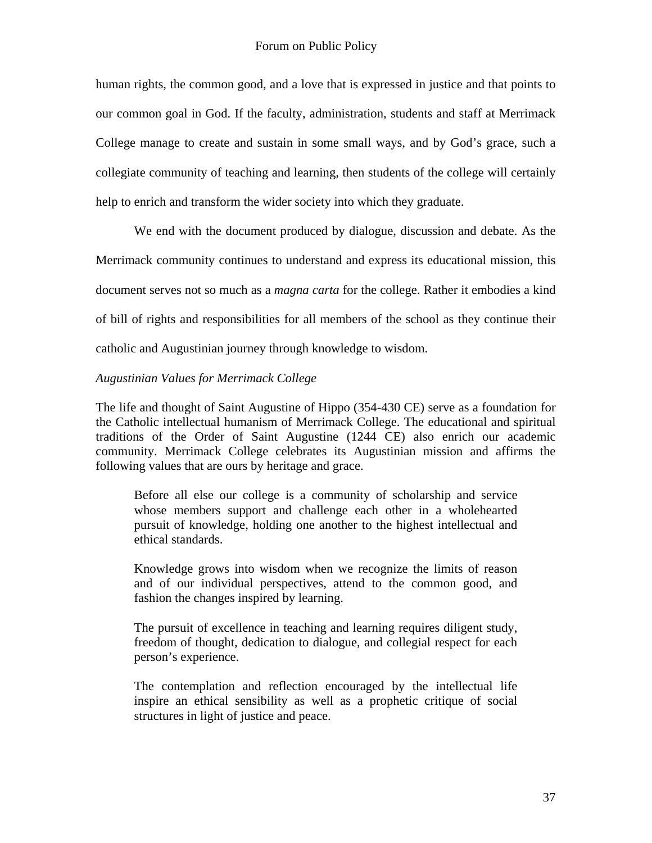human rights, the common good, and a love that is expressed in justice and that points to our common goal in God. If the faculty, administration, students and staff at Merrimack College manage to create and sustain in some small ways, and by God's grace, such a collegiate community of teaching and learning, then students of the college will certainly help to enrich and transform the wider society into which they graduate.

We end with the document produced by dialogue, discussion and debate. As the Merrimack community continues to understand and express its educational mission, this document serves not so much as a *magna carta* for the college. Rather it embodies a kind of bill of rights and responsibilities for all members of the school as they continue their catholic and Augustinian journey through knowledge to wisdom.

## *Augustinian Values for Merrimack College*

The life and thought of Saint Augustine of Hippo (354-430 CE) serve as a foundation for the Catholic intellectual humanism of Merrimack College. The educational and spiritual traditions of the Order of Saint Augustine (1244 CE) also enrich our academic community. Merrimack College celebrates its Augustinian mission and affirms the following values that are ours by heritage and grace.

Before all else our college is a community of scholarship and service whose members support and challenge each other in a wholehearted pursuit of knowledge, holding one another to the highest intellectual and ethical standards.

Knowledge grows into wisdom when we recognize the limits of reason and of our individual perspectives, attend to the common good, and fashion the changes inspired by learning.

The pursuit of excellence in teaching and learning requires diligent study, freedom of thought, dedication to dialogue, and collegial respect for each person's experience.

The contemplation and reflection encouraged by the intellectual life inspire an ethical sensibility as well as a prophetic critique of social structures in light of justice and peace.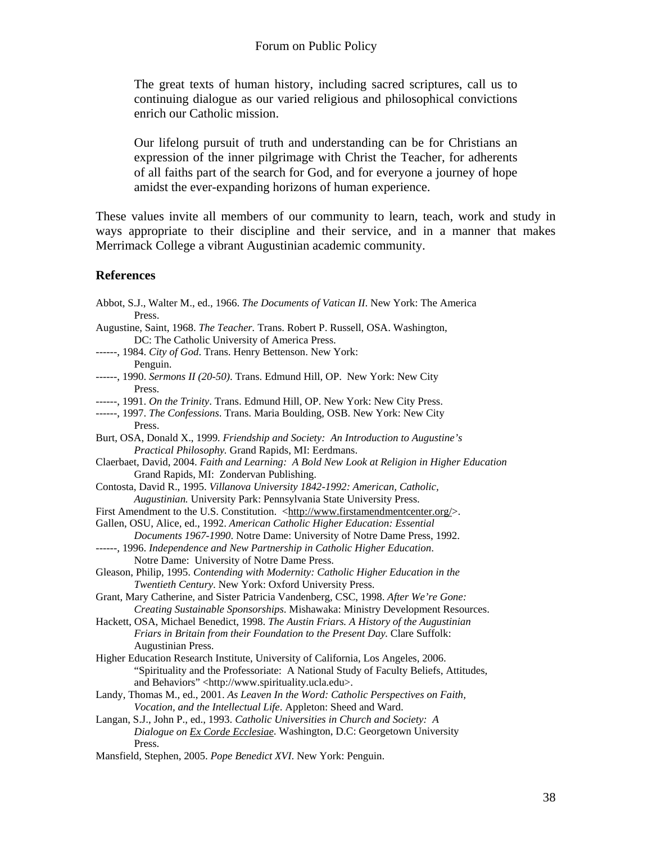The great texts of human history, including sacred scriptures, call us to continuing dialogue as our varied religious and philosophical convictions enrich our Catholic mission.

Our lifelong pursuit of truth and understanding can be for Christians an expression of the inner pilgrimage with Christ the Teacher, for adherents of all faiths part of the search for God, and for everyone a journey of hope amidst the ever-expanding horizons of human experience.

These values invite all members of our community to learn, teach, work and study in ways appropriate to their discipline and their service, and in a manner that makes Merrimack College a vibrant Augustinian academic community.

## **References**

| Abbot, S.J., Walter M., ed., 1966. The Documents of Vatican II. New York: The America                                                                                  |
|------------------------------------------------------------------------------------------------------------------------------------------------------------------------|
| Press.                                                                                                                                                                 |
| Augustine, Saint, 1968. The Teacher. Trans. Robert P. Russell, OSA. Washington,<br>DC: The Catholic University of America Press.                                       |
| ------, 1984. City of God. Trans. Henry Bettenson. New York:                                                                                                           |
| Penguin.                                                                                                                                                               |
| ------, 1990. Sermons II (20-50). Trans. Edmund Hill, OP. New York: New City                                                                                           |
| Press.                                                                                                                                                                 |
| ------, 1991. On the Trinity. Trans. Edmund Hill, OP. New York: New City Press.                                                                                        |
| ------, 1997. The Confessions. Trans. Maria Boulding, OSB. New York: New City                                                                                          |
| Press.                                                                                                                                                                 |
| Burt, OSA, Donald X., 1999. Friendship and Society: An Introduction to Augustine's                                                                                     |
| Practical Philosophy. Grand Rapids, MI: Eerdmans.                                                                                                                      |
| Claerbaet, David, 2004. Faith and Learning: A Bold New Look at Religion in Higher Education                                                                            |
| Grand Rapids, MI: Zondervan Publishing.                                                                                                                                |
| Contosta, David R., 1995. Villanova University 1842-1992: American, Catholic,                                                                                          |
| Augustinian. University Park: Pennsylvania State University Press.                                                                                                     |
| First Amendment to the U.S. Constitution. <http: www.firstamendmentcenter.org=""></http:> .                                                                            |
| Gallen, OSU, Alice, ed., 1992. American Catholic Higher Education: Essential                                                                                           |
| Documents 1967-1990. Notre Dame: University of Notre Dame Press, 1992.                                                                                                 |
| ------, 1996. Independence and New Partnership in Catholic Higher Education.                                                                                           |
| Notre Dame: University of Notre Dame Press.                                                                                                                            |
| Gleason, Philip, 1995. Contending with Modernity: Catholic Higher Education in the                                                                                     |
| Twentieth Century. New York: Oxford University Press.                                                                                                                  |
| Grant, Mary Catherine, and Sister Patricia Vandenberg, CSC, 1998. After We're Gone:                                                                                    |
| Creating Sustainable Sponsorships. Mishawaka: Ministry Development Resources.<br>Hackett, OSA, Michael Benedict, 1998. The Austin Friars. A History of the Augustinian |
| Friars in Britain from their Foundation to the Present Day. Clare Suffolk:                                                                                             |
| Augustinian Press.                                                                                                                                                     |
| Higher Education Research Institute, University of California, Los Angeles, 2006.                                                                                      |
| "Spirituality and the Professoriate: A National Study of Faculty Beliefs, Attitudes,                                                                                   |
| and Behaviors" <http: www.spirituality.ucla.edu="">.</http:>                                                                                                           |
| Landy, Thomas M., ed., 2001. As Leaven In the Word: Catholic Perspectives on Faith,                                                                                    |
| Vocation, and the Intellectual Life. Appleton: Sheed and Ward.                                                                                                         |
| Langan, S.J., John P., ed., 1993. Catholic Universities in Church and Society: A                                                                                       |
| Dialogue on Ex Corde Ecclesiae. Washington, D.C: Georgetown University                                                                                                 |
| Press.                                                                                                                                                                 |
| Mansfield, Stephen, 2005. Pope Benedict XVI. New York: Penguin.                                                                                                        |
|                                                                                                                                                                        |
|                                                                                                                                                                        |